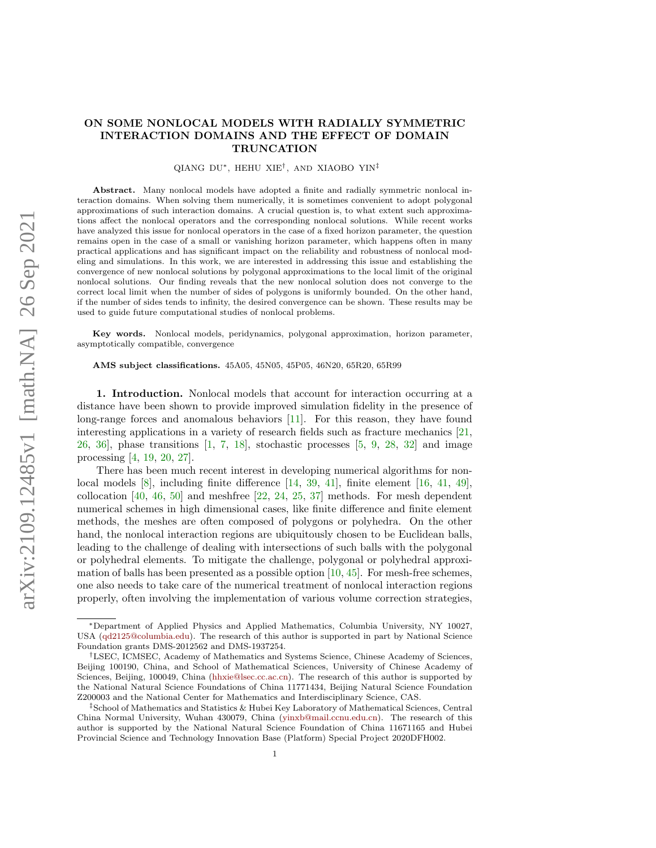## ON SOME NONLOCAL MODELS WITH RADIALLY SYMMETRIC INTERACTION DOMAINS AND THE EFFECT OF DOMAIN TRUNCATION

QIANG DU∗, HEHU XIE† , AND XIAOBO YIN‡

Abstract. Many nonlocal models have adopted a finite and radially symmetric nonlocal interaction domains. When solving them numerically, it is sometimes convenient to adopt polygonal approximations of such interaction domains. A crucial question is, to what extent such approximations affect the nonlocal operators and the corresponding nonlocal solutions. While recent works have analyzed this issue for nonlocal operators in the case of a fixed horizon parameter, the question remains open in the case of a small or vanishing horizon parameter, which happens often in many practical applications and has significant impact on the reliability and robustness of nonlocal modeling and simulations. In this work, we are interested in addressing this issue and establishing the convergence of new nonlocal solutions by polygonal approximations to the local limit of the original nonlocal solutions. Our finding reveals that the new nonlocal solution does not converge to the correct local limit when the number of sides of polygons is uniformly bounded. On the other hand, if the number of sides tends to infinity, the desired convergence can be shown. These results may be used to guide future computational studies of nonlocal problems.

Key words. Nonlocal models, peridynamics, polygonal approximation, horizon parameter, asymptotically compatible, convergence

AMS subject classifications. 45A05, 45N05, 45P05, 46N20, 65R20, 65R99

1. Introduction. Nonlocal models that account for interaction occurring at a distance have been shown to provide improved simulation fidelity in the presence of long-range forces and anomalous behaviors [\[11\]](#page-20-0). For this reason, they have found interesting applications in a variety of research fields such as fracture mechanics [\[21,](#page-20-1) [26,](#page-20-2) [36\]](#page-21-0), phase transitions [\[1,](#page-19-0) [7,](#page-20-3) [18\]](#page-20-4), stochastic processes [\[5,](#page-20-5) [9,](#page-20-6) [28,](#page-21-1) [32\]](#page-21-2) and image processing [\[4,](#page-20-7) [19,](#page-20-8) [20,](#page-20-9) [27\]](#page-20-10).

There has been much recent interest in developing numerical algorithms for nonlocal models [\[8\]](#page-20-11), including finite difference [\[14,](#page-20-12) [39,](#page-21-3) [41\]](#page-21-4), finite element [\[16,](#page-20-13) [41,](#page-21-4) [49\]](#page-21-5), collocation  $[40, 46, 50]$  $[40, 46, 50]$  $[40, 46, 50]$  $[40, 46, 50]$  $[40, 46, 50]$  and meshfree  $[22, 24, 25, 37]$  $[22, 24, 25, 37]$  $[22, 24, 25, 37]$  $[22, 24, 25, 37]$  $[22, 24, 25, 37]$  $[22, 24, 25, 37]$  $[22, 24, 25, 37]$  methods. For mesh dependent numerical schemes in high dimensional cases, like finite difference and finite element methods, the meshes are often composed of polygons or polyhedra. On the other hand, the nonlocal interaction regions are ubiquitously chosen to be Euclidean balls, leading to the challenge of dealing with intersections of such balls with the polygonal or polyhedral elements. To mitigate the challenge, polygonal or polyhedral approximation of balls has been presented as a possible option  $[10, 45]$  $[10, 45]$  $[10, 45]$ . For mesh-free schemes, one also needs to take care of the numerical treatment of nonlocal interaction regions properly, often involving the implementation of various volume correction strategies,

<sup>∗</sup>Department of Applied Physics and Applied Mathematics, Columbia University, NY 10027, USA [\(qd2125@columbia.edu\)](mailto:qd2125@columbia.edu). The research of this author is supported in part by National Science Foundation grants DMS-2012562 and DMS-1937254.

<sup>†</sup>LSEC, ICMSEC, Academy of Mathematics and Systems Science, Chinese Academy of Sciences, Beijing 100190, China, and School of Mathematical Sciences, University of Chinese Academy of Sciences, Beijing, 100049, China [\(hhxie@lsec.cc.ac.cn\)](mailto:hhxie@lsec.cc.ac.cn). The research of this author is supported by the National Natural Science Foundations of China 11771434, Beijing Natural Science Foundation Z200003 and the National Center for Mathematics and Interdisciplinary Science, CAS.

<sup>‡</sup>School of Mathematics and Statistics & Hubei Key Laboratory of Mathematical Sciences, Central China Normal University, Wuhan 430079, China [\(yinxb@mail.ccnu.edu.cn\)](mailto:yinxb@mail.ccnu.edu.cn). The research of this author is supported by the National Natural Science Foundation of China 11671165 and Hubei Provincial Science and Technology Innovation Base (Platform) Special Project 2020DFH002.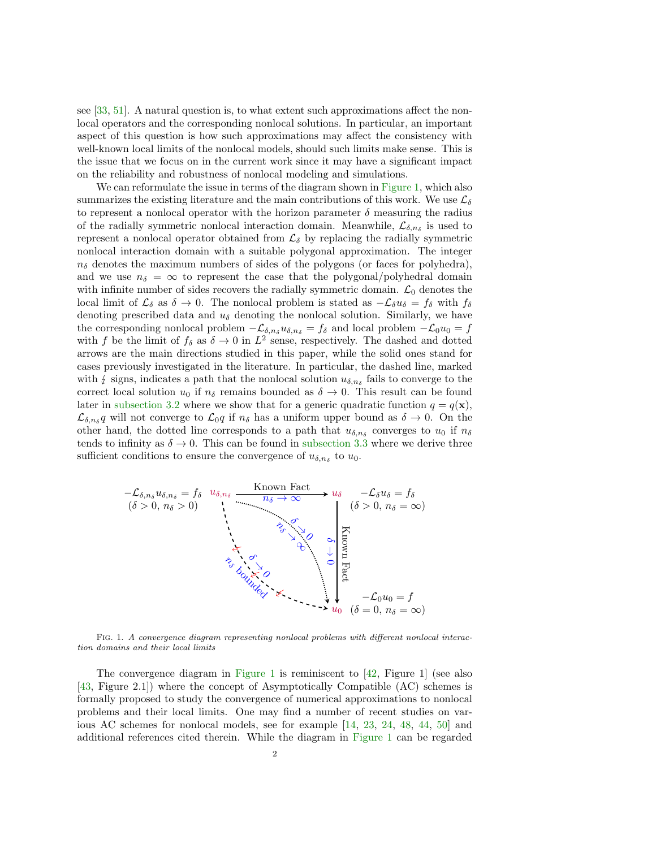see [\[33,](#page-21-11) [51\]](#page-21-12). A natural question is, to what extent such approximations affect the nonlocal operators and the corresponding nonlocal solutions. In particular, an important aspect of this question is how such approximations may affect the consistency with well-known local limits of the nonlocal models, should such limits make sense. This is the issue that we focus on in the current work since it may have a significant impact on the reliability and robustness of nonlocal modeling and simulations.

We can reformulate the issue in terms of the diagram shown in [Figure 1,](#page-1-0) which also summarizes the existing literature and the main contributions of this work. We use  $\mathcal{L}_{\delta}$ to represent a nonlocal operator with the horizon parameter  $\delta$  measuring the radius of the radially symmetric nonlocal interaction domain. Meanwhile,  $\mathcal{L}_{\delta,n_{\delta}}$  is used to represent a nonlocal operator obtained from  $\mathcal{L}_{\delta}$  by replacing the radially symmetric nonlocal interaction domain with a suitable polygonal approximation. The integer  $n_{\delta}$  denotes the maximum numbers of sides of the polygons (or faces for polyhedra), and we use  $n_{\delta} = \infty$  to represent the case that the polygonal/polyhedral domain with infinite number of sides recovers the radially symmetric domain.  $\mathcal{L}_0$  denotes the local limit of  $\mathcal{L}_{\delta}$  as  $\delta \to 0$ . The nonlocal problem is stated as  $-\mathcal{L}_{\delta}u_{\delta} = f_{\delta}$  with  $f_{\delta}$ denoting prescribed data and  $u_{\delta}$  denoting the nonlocal solution. Similarly, we have the corresponding nonlocal problem  $-\mathcal{L}_{\delta,n_{\delta}} u_{\delta,n_{\delta}} = f_{\delta}$  and local problem  $-\mathcal{L}_0u_0 = f$ with f be the limit of  $f_{\delta}$  as  $\delta \to 0$  in  $L^2$  sense, respectively. The dashed and dotted arrows are the main directions studied in this paper, while the solid ones stand for cases previously investigated in the literature. In particular, the dashed line, marked with  $\xi$  signs, indicates a path that the nonlocal solution  $u_{\delta,n_{\delta}}$  fails to converge to the correct local solution  $u_{\delta,n_{\delta}}$  for remains bounded as  $\delta \to 0$ . This result can be found correct local solution  $u_0$  if  $n_\delta$  remains bounded as  $\delta \to 0$ . This result can be found later in [subsection 3.2](#page-7-0) where we show that for a generic quadratic function  $q = q(\mathbf{x})$ ,  $\mathcal{L}_{\delta,n_{\delta}}q$  will not converge to  $\mathcal{L}_0q$  if  $n_{\delta}$  has a uniform upper bound as  $\delta \to 0$ . On the other hand, the dotted line corresponds to a path that  $u_{\delta,n_{\delta}}$  converges to  $u_0$  if  $n_{\delta}$ tends to infinity as  $\delta \to 0$ . This can be found in [subsection 3.3](#page-9-0) where we derive three sufficient conditions to ensure the convergence of  $u_{\delta,n_{\delta}}$  to  $u_0$ .

<span id="page-1-0"></span>

Fig. 1. A convergence diagram representing nonlocal problems with different nonlocal interaction domains and their local limits

The convergence diagram in [Figure 1](#page-1-0) is reminiscent to [\[42,](#page-21-13) Figure 1] (see also [\[43,](#page-21-14) Figure 2.1]) where the concept of Asymptotically Compatible (AC) schemes is formally proposed to study the convergence of numerical approximations to nonlocal problems and their local limits. One may find a number of recent studies on various AC schemes for nonlocal models, see for example [\[14,](#page-20-12) [23,](#page-20-18) [24,](#page-20-15) [48,](#page-21-15) [44,](#page-21-16) [50\]](#page-21-8) and additional references cited therein. While the diagram in [Figure 1](#page-1-0) can be regarded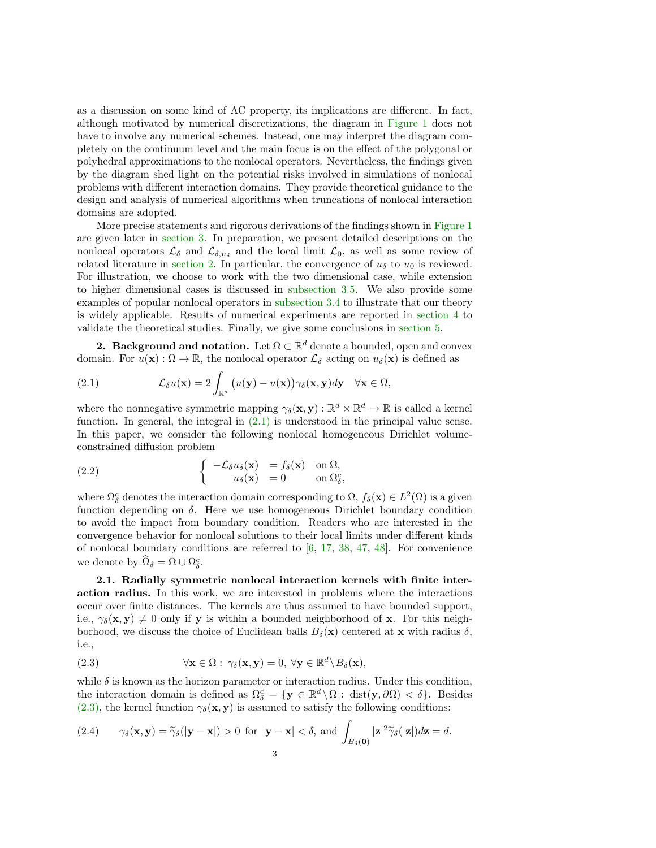as a discussion on some kind of AC property, its implications are different. In fact, although motivated by numerical discretizations, the diagram in [Figure 1](#page-1-0) does not have to involve any numerical schemes. Instead, one may interpret the diagram completely on the continuum level and the main focus is on the effect of the polygonal or polyhedral approximations to the nonlocal operators. Nevertheless, the findings given by the diagram shed light on the potential risks involved in simulations of nonlocal problems with different interaction domains. They provide theoretical guidance to the design and analysis of numerical algorithms when truncations of nonlocal interaction domains are adopted.

More precise statements and rigorous derivations of the findings shown in [Figure 1](#page-1-0) are given later in [section 3.](#page-7-1) In preparation, we present detailed descriptions on the nonlocal operators  $\mathcal{L}_{\delta}$  and  $\mathcal{L}_{\delta,n_{\delta}}$  and the local limit  $\mathcal{L}_0$ , as well as some review of related literature in [section 2.](#page-2-0) In particular, the convergence of  $u_{\delta}$  to  $u_0$  is reviewed. For illustration, we choose to work with the two dimensional case, while extension to higher dimensional cases is discussed in [subsection 3.5.](#page-16-0) We also provide some examples of popular nonlocal operators in [subsection 3.4](#page-15-0) to illustrate that our theory is widely applicable. Results of numerical experiments are reported in [section 4](#page-16-1) to validate the theoretical studies. Finally, we give some conclusions in [section 5.](#page-18-0)

<span id="page-2-0"></span>**2. Background and notation.** Let  $\Omega \subset \mathbb{R}^d$  denote a bounded, open and convex domain. For  $u(\mathbf{x}) : \Omega \to \mathbb{R}$ , the nonlocal operator  $\mathcal{L}_{\delta}$  acting on  $u_{\delta}(\mathbf{x})$  is defined as

<span id="page-2-1"></span>(2.1) 
$$
\mathcal{L}_{\delta}u(\mathbf{x}) = 2 \int_{\mathbb{R}^d} \big( u(\mathbf{y}) - u(\mathbf{x}) \big) \gamma_{\delta}(\mathbf{x}, \mathbf{y}) d\mathbf{y} \quad \forall \mathbf{x} \in \Omega,
$$

where the nonnegative symmetric mapping  $\gamma_{\delta}(\mathbf{x}, \mathbf{y}) : \mathbb{R}^d \times \mathbb{R}^d \to \mathbb{R}$  is called a kernel function. In general, the integral in  $(2.1)$  is understood in the principal value sense. In this paper, we consider the following nonlocal homogeneous Dirichlet volumeconstrained diffusion problem

<span id="page-2-4"></span>(2.2) 
$$
\begin{cases}\n-\mathcal{L}_{\delta}u_{\delta}(\mathbf{x}) = f_{\delta}(\mathbf{x}) & \text{on } \Omega, \\
u_{\delta}(\mathbf{x}) = 0 & \text{on } \Omega_{\delta}^c,\n\end{cases}
$$

where  $\Omega_{\delta}^{c}$  denotes the interaction domain corresponding to  $\Omega$ ,  $f_{\delta}(\mathbf{x}) \in L^{2}(\Omega)$  is a given function depending on  $\delta$ . Here we use homogeneous Dirichlet boundary condition to avoid the impact from boundary condition. Readers who are interested in the convergence behavior for nonlocal solutions to their local limits under different kinds of nonlocal boundary conditions are referred to  $[6, 17, 38, 47, 48]$  $[6, 17, 38, 47, 48]$  $[6, 17, 38, 47, 48]$  $[6, 17, 38, 47, 48]$  $[6, 17, 38, 47, 48]$  $[6, 17, 38, 47, 48]$  $[6, 17, 38, 47, 48]$  $[6, 17, 38, 47, 48]$  $[6, 17, 38, 47, 48]$ . For convenience we denote by  $\widehat{\Omega}_{\delta} = \Omega \cup \Omega_{\delta}^{c}$ .

2.1. Radially symmetric nonlocal interaction kernels with finite interaction radius. In this work, we are interested in problems where the interactions occur over finite distances. The kernels are thus assumed to have bounded support, i.e.,  $\gamma_{\delta}(\mathbf{x}, \mathbf{y}) \neq 0$  only if y is within a bounded neighborhood of x. For this neighborhood, we discuss the choice of Euclidean balls  $B_\delta(\mathbf{x})$  centered at x with radius  $\delta$ , i.e.,

<span id="page-2-2"></span>(2.3) 
$$
\forall \mathbf{x} \in \Omega : \gamma_{\delta}(\mathbf{x}, \mathbf{y}) = 0, \forall \mathbf{y} \in \mathbb{R}^d \backslash B_{\delta}(\mathbf{x}),
$$

while  $\delta$  is known as the horizon parameter or interaction radius. Under this condition, the interaction domain is defined as  $\Omega_{\delta}^c = \{ \mathbf{y} \in \mathbb{R}^d \setminus \Omega : \text{dist}(\mathbf{y}, \partial \Omega) < \delta \}.$  Besides [\(2.3\),](#page-2-2) the kernel function  $\gamma_{\delta}(\mathbf{x}, \mathbf{y})$  is assumed to satisfy the following conditions:

<span id="page-2-3"></span>(2.4) 
$$
\gamma_{\delta}(\mathbf{x}, \mathbf{y}) = \tilde{\gamma}_{\delta}(|\mathbf{y} - \mathbf{x}|) > 0 \text{ for } |\mathbf{y} - \mathbf{x}| < \delta, \text{ and } \int_{B_{\delta}(\mathbf{0})} |\mathbf{z}|^{2} \tilde{\gamma}_{\delta}(|\mathbf{z}|) d\mathbf{z} = d.
$$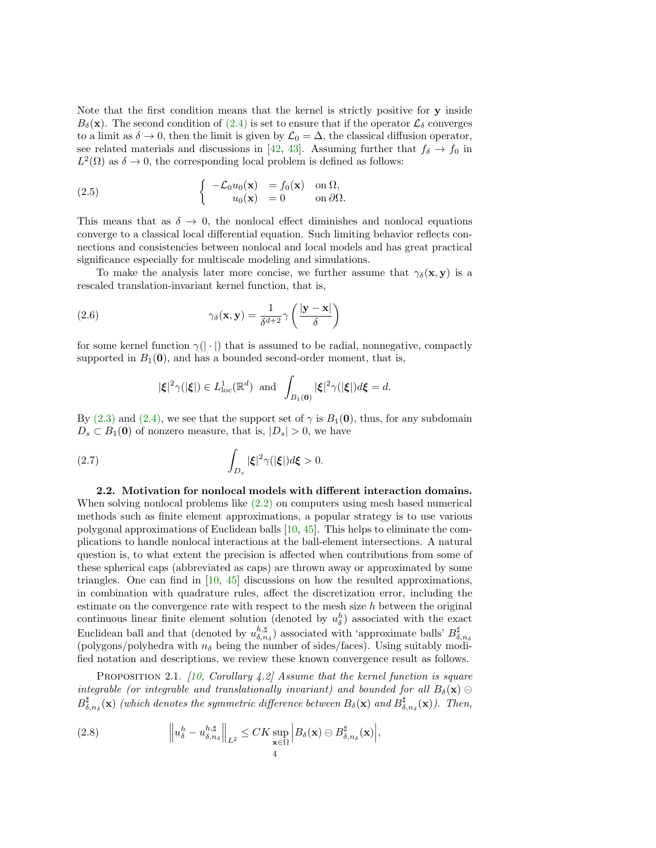Note that the first condition means that the kernel is strictly positive for y inside  $B_\delta(\mathbf{x})$ . The second condition of  $(2.4)$  is set to ensure that if the operator  $\mathcal{L}_\delta$  converges to a limit as  $\delta \to 0$ , then the limit is given by  $\mathcal{L}_0 = \Delta$ , the classical diffusion operator, see related materials and discussions in [\[42,](#page-21-13) [43\]](#page-21-14). Assuming further that  $f_{\delta} \to f_0$  in  $L^2(\Omega)$  as  $\delta \to 0$ , the corresponding local problem is defined as follows:

<span id="page-3-2"></span>(2.5) 
$$
\begin{cases}\n-\mathcal{L}_0 u_0(\mathbf{x}) = f_0(\mathbf{x}) \text{ on } \Omega, \\
u_0(\mathbf{x}) = 0 \text{ on } \partial \Omega.\n\end{cases}
$$

This means that as  $\delta \to 0$ , the nonlocal effect diminishes and nonlocal equations converge to a classical local differential equation. Such limiting behavior reflects connections and consistencies between nonlocal and local models and has great practical significance especially for multiscale modeling and simulations.

To make the analysis later more concise, we further assume that  $\gamma_{\delta}(\mathbf{x}, \mathbf{y})$  is a rescaled translation-invariant kernel function, that is,

(2.6) 
$$
\gamma_{\delta}(\mathbf{x}, \mathbf{y}) = \frac{1}{\delta^{d+2}} \gamma \left( \frac{|\mathbf{y} - \mathbf{x}|}{\delta} \right)
$$

for some kernel function  $\gamma(|\cdot|)$  that is assumed to be radial, nonnegative, compactly supported in  $B_1(0)$ , and has a bounded second-order moment, that is,

<span id="page-3-3"></span><span id="page-3-1"></span>
$$
|\xi|^2 \gamma(|\xi|) \in L^1_{\text{loc}}(\mathbb{R}^d) \text{ and } \int_{B_1(\mathbf{0})} |\xi|^2 \gamma(|\xi|) d\xi = d.
$$

By [\(2.3\)](#page-2-2) and [\(2.4\),](#page-2-3) we see that the support set of  $\gamma$  is  $B_1(\mathbf{0})$ , thus, for any subdomain  $D_s \subset B_1(0)$  of nonzero measure, that is,  $|D_s| > 0$ , we have

(2.7) 
$$
\int_{D_s} |\xi|^2 \gamma(|\xi|) d\xi > 0.
$$

<span id="page-3-4"></span>2.2. Motivation for nonlocal models with different interaction domains. When solving nonlocal problems like [\(2.2\)](#page-2-4) on computers using mesh based numerical methods such as finite element approximations, a popular strategy is to use various polygonal approximations of Euclidean balls [\[10,](#page-20-17) [45\]](#page-21-10). This helps to eliminate the complications to handle nonlocal interactions at the ball-element intersections. A natural question is, to what extent the precision is affected when contributions from some of these spherical caps (abbreviated as caps) are thrown away or approximated by some triangles. One can find in [\[10,](#page-20-17) [45\]](#page-21-10) discussions on how the resulted approximations, in combination with quadrature rules, affect the discretization error, including the estimate on the convergence rate with respect to the mesh size  $h$  between the original continuous linear finite element solution (denoted by  $u_{\delta}^h$ ) associated with the exact Euclidean ball and that (denoted by  $u_{\delta,n_{\delta}}^{h,\sharp}$ ) associated with 'approximate balls'  $B_{\delta,n_{\delta}}^{\sharp}$  (polygons/polyhedra with  $n_{\delta}$  being the number of sides/faces). Using suitably modified notation and descriptions, we review these known convergence result as follows.

PROPOSITION 2.1. [\[10,](#page-20-17) Corollary 4.2] Assume that the kernel function is square integrable (or integrable and translationally invariant) and bounded for all  $B_\delta(\mathbf{x}) \ominus$  $B_{\delta,n_{\delta}}^{\sharp}(\mathbf{x})$  (which denotes the symmetric difference between  $B_{\delta}(\mathbf{x})$  and  $B_{\delta,n_{\delta}}^{\sharp}(\mathbf{x})$ ). Then,

<span id="page-3-0"></span>(2.8) 
$$
\left\|u_{\delta}^{h}-u_{\delta,n_{\delta}}^{h,\sharp}\right\|_{L^{2}} \leq CK \sup_{\mathbf{x}\in\Omega} \left|B_{\delta}(\mathbf{x})\ominus B^{\sharp}_{\delta,n_{\delta}}(\mathbf{x})\right|,
$$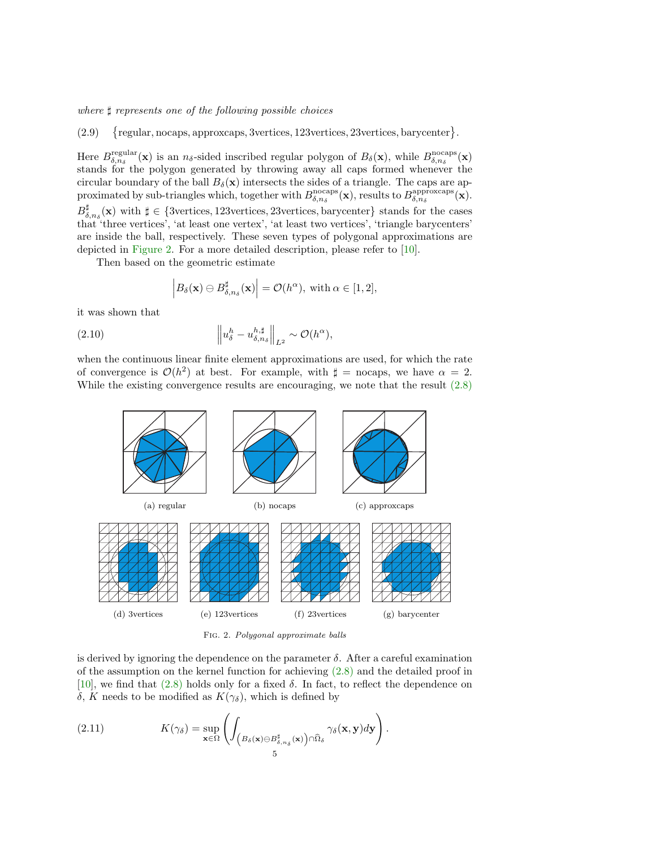where  $\sharp$  represents one of the following possible choices

<span id="page-4-2"></span>(2.9) regular, nocaps, approxcaps, 3vertices, 123vertices, 23vertices, barycenter }.

Here  $B_{\delta,n_{\delta}}^{\text{regular}}(\mathbf{x})$  is an  $n_{\delta}$ -sided inscribed regular polygon of  $B_{\delta}(\mathbf{x})$ , while  $B_{\delta,n_{\delta}}^{\text{nccaps}}(\mathbf{x})$ stands for the polygon generated by throwing away all caps formed whenever the circular boundary of the ball  $B_\delta(\mathbf{x})$  intersects the sides of a triangle. The caps are approximated by sub-triangles which, together with  $B_{\delta,n_{\delta}}^{\text{nocaps}}(\mathbf{x})$ , results to  $B_{\delta,n_{\delta}}^{\text{approxcaps}}(\mathbf{x})$ .  $B_{\delta,n_{\delta}}^{\sharp}(\mathbf{x})$  with  $\sharp \in \{3$ vertices, 123vertices, 23vertices, barycenter} stands for the cases that 'three vertices', 'at least one vertex', 'at least two vertices', 'triangle barycenters' are inside the ball, respectively. These seven types of polygonal approximations are depicted in [Figure 2.](#page-4-0) For a more detailed description, please refer to [\[10\]](#page-20-17).

Then based on the geometric estimate

<span id="page-4-1"></span>
$$
\left|B_{\delta}(\mathbf{x})\ominus B_{\delta,n_{\delta}}^{\sharp}(\mathbf{x})\right|=\mathcal{O}(h^{\alpha}), \text{ with } \alpha\in[1,2],
$$

it was shown that

(2.10) 
$$
\left\| u_{\delta}^{h} - u_{\delta, n_{\delta}}^{h, \sharp} \right\|_{L^{2}} \sim \mathcal{O}(h^{\alpha}),
$$

when the continuous linear finite element approximations are used, for which the rate of convergence is  $\mathcal{O}(h^2)$  at best. For example, with  $\sharp =$  nocaps, we have  $\alpha = 2$ . While the existing convergence results are encouraging, we note that the result  $(2.8)$ 

<span id="page-4-0"></span>

Fig. 2. Polygonal approximate balls

is derived by ignoring the dependence on the parameter  $\delta$ . After a careful examination of the assumption on the kernel function for achieving [\(2.8\)](#page-3-0) and the detailed proof in [\[10\]](#page-20-17), we find that  $(2.8)$  holds only for a fixed  $\delta$ . In fact, to reflect the dependence on δ, K needs to be modified as  $K(\gamma_\delta)$ , which is defined by

(2.11) 
$$
K(\gamma_{\delta}) = \sup_{\mathbf{x} \in \Omega} \left( \int_{\left(B_{\delta}(\mathbf{x}) \ominus B^{\sharp}_{\delta,n_{\delta}}(\mathbf{x})\right) \cap \widehat{\Omega}_{\delta}} \gamma_{\delta}(\mathbf{x}, \mathbf{y}) d\mathbf{y} \right).
$$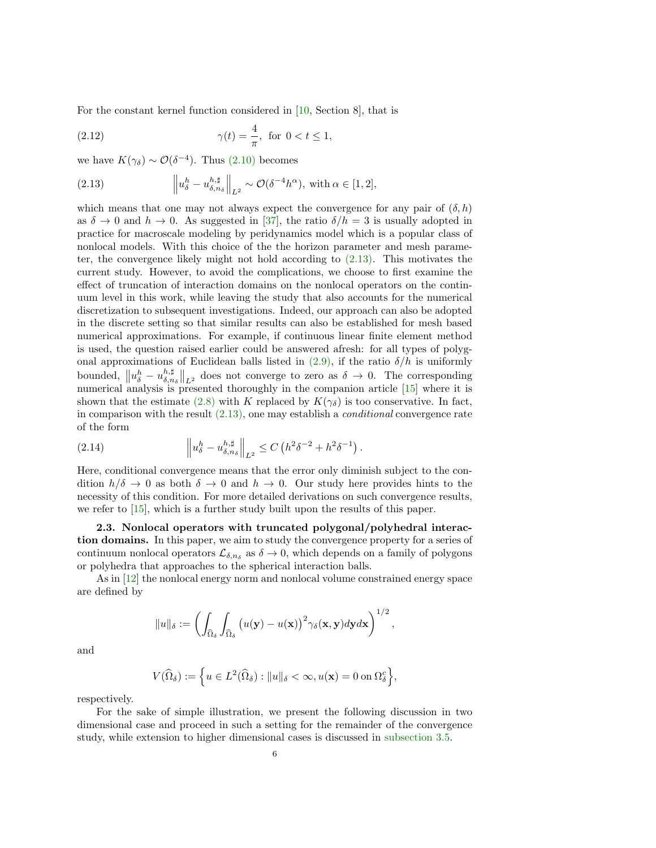For the constant kernel function considered in [\[10,](#page-20-17) Section 8], that is

<span id="page-5-1"></span>(2.12) 
$$
\gamma(t) = \frac{4}{\pi}
$$
, for  $0 < t \le 1$ ,

we have  $K(\gamma_{\delta}) \sim \mathcal{O}(\delta^{-4})$ . Thus [\(2.10\)](#page-4-1) becomes

<span id="page-5-0"></span>(2.13) 
$$
\left\| u_{\delta}^{h} - u_{\delta, n_{\delta}}^{h, \sharp} \right\|_{L^{2}} \sim \mathcal{O}(\delta^{-4} h^{\alpha}), \text{ with } \alpha \in [1, 2],
$$

which means that one may not always expect the convergence for any pair of  $(\delta, h)$ as  $\delta \to 0$  and  $h \to 0$ . As suggested in [\[37\]](#page-21-9), the ratio  $\delta/h = 3$  is usually adopted in practice for macroscale modeling by peridynamics model which is a popular class of nonlocal models. With this choice of the the horizon parameter and mesh parameter, the convergence likely might not hold according to [\(2.13\).](#page-5-0) This motivates the current study. However, to avoid the complications, we choose to first examine the effect of truncation of interaction domains on the nonlocal operators on the continuum level in this work, while leaving the study that also accounts for the numerical discretization to subsequent investigations. Indeed, our approach can also be adopted in the discrete setting so that similar results can also be established for mesh based numerical approximations. For example, if continuous linear finite element method is used, the question raised earlier could be answered afresh: for all types of polygonal approximations of Euclidean balls listed in  $(2.9)$ , if the ratio  $\delta/h$  is uniformly bounded,  $||u_{\delta}^{h} - u_{\delta,n_{\delta}}^{h,\sharp}||_{L^{2}}$  does not converge to zero as  $\delta \to 0$ . The corresponding numerical analysis is presented thoroughly in the companion article [\[15\]](#page-20-21) where it is shown that the estimate [\(2.8\)](#page-3-0) with K replaced by  $K(\gamma_{\delta})$  is too conservative. In fact, in comparison with the result  $(2.13)$ , one may establish a *conditional* convergence rate of the form

<span id="page-5-2"></span>(2.14) 
$$
\left\| u_{\delta}^{h} - u_{\delta, n_{\delta}}^{h, \sharp} \right\|_{L^{2}} \leq C \left( h^{2} \delta^{-2} + h^{2} \delta^{-1} \right).
$$

Here, conditional convergence means that the error only diminish subject to the condition  $h/\delta \to 0$  as both  $\delta \to 0$  and  $h \to 0$ . Our study here provides hints to the necessity of this condition. For more detailed derivations on such convergence results, we refer to [\[15\]](#page-20-21), which is a further study built upon the results of this paper.

2.3. Nonlocal operators with truncated polygonal/polyhedral interaction domains. In this paper, we aim to study the convergence property for a series of continuum nonlocal operators  $\mathcal{L}_{\delta,n_{\delta}}$  as  $\delta \to 0$ , which depends on a family of polygons or polyhedra that approaches to the spherical interaction balls.

As in [\[12\]](#page-20-22) the nonlocal energy norm and nonlocal volume constrained energy space are defined by

$$
||u||_{\delta} := \left(\int_{\widehat{\Omega}_{\delta}} \int_{\widehat{\Omega}_{\delta}} \left(u(\mathbf{y}) - u(\mathbf{x})\right)^2 \gamma_{\delta}(\mathbf{x}, \mathbf{y}) d\mathbf{y} d\mathbf{x}\right)^{1/2},
$$

and

$$
V(\widehat{\Omega}_{\delta}) := \left\{ u \in L^2(\widehat{\Omega}_{\delta}) : ||u||_{\delta} < \infty, u(\mathbf{x}) = 0 \text{ on } \Omega_{\delta}^c \right\},\
$$

respectively.

For the sake of simple illustration, we present the following discussion in two dimensional case and proceed in such a setting for the remainder of the convergence study, while extension to higher dimensional cases is discussed in [subsection 3.5.](#page-16-0)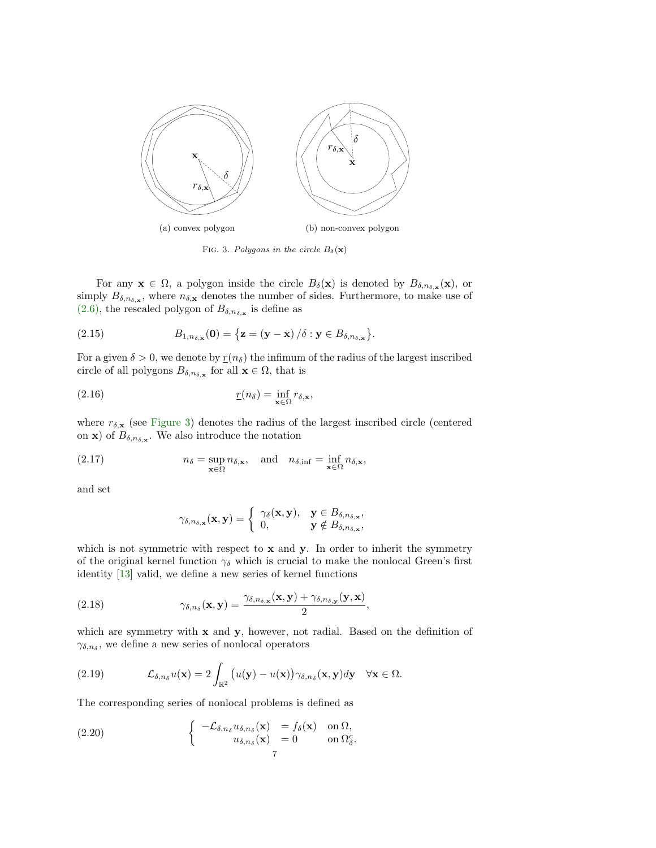<span id="page-6-0"></span>

<span id="page-6-3"></span>FIG. 3. Polygons in the circle  $B_\delta(\mathbf{x})$ 

For any  $\mathbf{x} \in \Omega$ , a polygon inside the circle  $B_{\delta}(\mathbf{x})$  is denoted by  $B_{\delta,n_{\delta,\mathbf{x}}}(\mathbf{x})$ , or simply  $B_{\delta,n_{\delta,\mathbf{x}}}$ , where  $n_{\delta,\mathbf{x}}$  denotes the number of sides. Furthermore, to make use of  $(2.6)$ , the rescaled polygon of  $B_{\delta,n_{\delta,\mathbf{x}}}$  is define as

(2.15) 
$$
B_{1,n_{\delta,\mathbf{x}}}(\mathbf{0}) = \{ \mathbf{z} = (\mathbf{y} - \mathbf{x}) / \delta : \mathbf{y} \in B_{\delta,n_{\delta,\mathbf{x}}}\}.
$$

For a given  $\delta > 0$ , we denote by  $r(n_{\delta})$  the infimum of the radius of the largest inscribed circle of all polygons  $B_{\delta,n_{\delta,\mathbf{x}}}$  for all  $\mathbf{x} \in \Omega$ , that is

(2.16) 
$$
\underline{r}(n_{\delta}) = \inf_{\mathbf{x} \in \Omega} r_{\delta, \mathbf{x}},
$$

where  $r_{\delta, \mathbf{x}}$  (see [Figure 3\)](#page-6-0) denotes the radius of the largest inscribed circle (centered on **x**) of  $B_{\delta,n_{\delta,\mathbf{x}}}$ . We also introduce the notation

(2.17) 
$$
n_{\delta} = \sup_{\mathbf{x} \in \Omega} n_{\delta, \mathbf{x}}, \text{ and } n_{\delta, \inf} = \inf_{\mathbf{x} \in \Omega} n_{\delta, \mathbf{x}},
$$

and set

<span id="page-6-2"></span>
$$
\gamma_{\delta,n_{\delta,\mathbf{x}}}(\mathbf{x},\mathbf{y}) = \begin{cases} \gamma_{\delta}(\mathbf{x},\mathbf{y}), & \mathbf{y} \in B_{\delta,n_{\delta,\mathbf{x}}}, \\ 0, & \mathbf{y} \notin B_{\delta,n_{\delta,\mathbf{x}}}, \end{cases}
$$

which is not symmetric with respect to  $x$  and  $y$ . In order to inherit the symmetry of the original kernel function  $\gamma_{\delta}$  which is crucial to make the nonlocal Green's first identity [\[13\]](#page-20-23) valid, we define a new series of kernel functions

(2.18) 
$$
\gamma_{\delta,n_{\delta}}(\mathbf{x},\mathbf{y}) = \frac{\gamma_{\delta,n_{\delta,\mathbf{x}}}(\mathbf{x},\mathbf{y}) + \gamma_{\delta,n_{\delta,\mathbf{y}}}(\mathbf{y},\mathbf{x})}{2},
$$

which are symmetry with  $x$  and  $y$ , however, not radial. Based on the definition of  $\gamma_{\delta,n_{\delta}}$ , we define a new series of nonlocal operators

(2.19) 
$$
\mathcal{L}_{\delta,n_{\delta}}u(\mathbf{x})=2\int_{\mathbb{R}^2}\big(u(\mathbf{y})-u(\mathbf{x})\big)\gamma_{\delta,n_{\delta}}(\mathbf{x},\mathbf{y})d\mathbf{y}\quad\forall\mathbf{x}\in\Omega.
$$

The corresponding series of nonlocal problems is defined as

<span id="page-6-1"></span>(2.20) 
$$
\begin{cases}\n-\mathcal{L}_{\delta,n_{\delta}}u_{\delta,n_{\delta}}(\mathbf{x}) &= f_{\delta}(\mathbf{x}) \text{ on } \Omega, \\
u_{\delta,n_{\delta}}(\mathbf{x}) &= 0 \text{ on } \Omega_{\delta}^{c}.\n\end{cases}
$$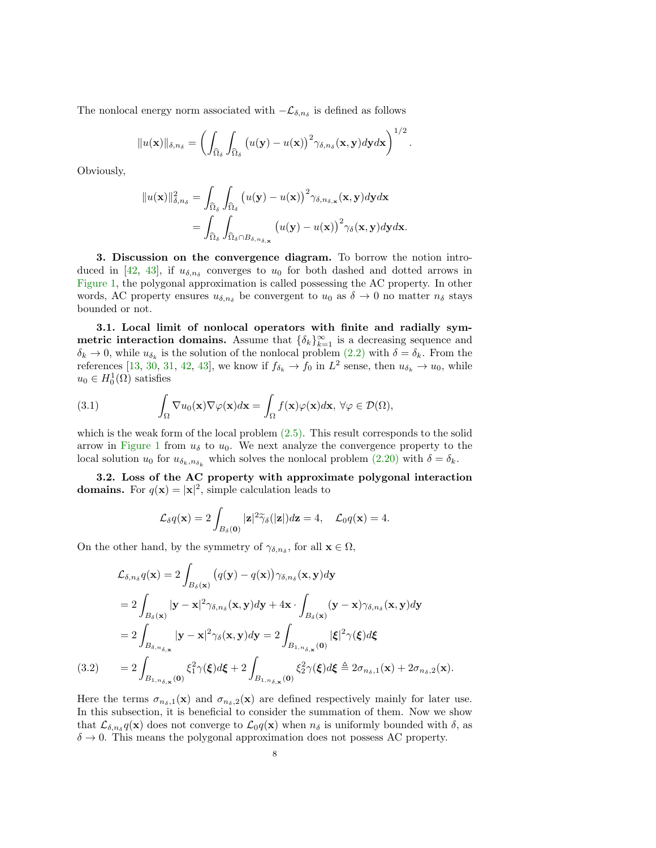The nonlocal energy norm associated with  $-\mathcal{L}_{\delta,n_{\delta}}$  is defined as follows

$$
||u(\mathbf{x})||_{\delta,n_{\delta}} = \left(\int_{\widehat{\Omega}_{\delta}} \int_{\widehat{\Omega}_{\delta}} \left(u(\mathbf{y}) - u(\mathbf{x})\right)^2 \gamma_{\delta,n_{\delta}}(\mathbf{x},\mathbf{y}) d\mathbf{y} d\mathbf{x}\right)^{1/2}.
$$

Obviously,

$$
||u(\mathbf{x})||_{\delta,n_{\delta}}^{2} = \int_{\widehat{\Omega}_{\delta}} \int_{\widehat{\Omega}_{\delta}} \left( u(\mathbf{y}) - u(\mathbf{x}) \right)^{2} \gamma_{\delta,n_{\delta,\mathbf{x}}}(\mathbf{x},\mathbf{y}) d\mathbf{y} d\mathbf{x}
$$
  
= 
$$
\int_{\widehat{\Omega}_{\delta}} \int_{\widehat{\Omega}_{\delta} \cap B_{\delta,n_{\delta,\mathbf{x}}}} \left( u(\mathbf{y}) - u(\mathbf{x}) \right)^{2} \gamma_{\delta}(\mathbf{x},\mathbf{y}) d\mathbf{y} d\mathbf{x}.
$$

<span id="page-7-1"></span>3. Discussion on the convergence diagram. To borrow the notion intro-duced in [\[42,](#page-21-13) [43\]](#page-21-14), if  $u_{\delta,n_{\delta}}$  converges to  $u_0$  for both dashed and dotted arrows in [Figure 1,](#page-1-0) the polygonal approximation is called possessing the AC property. In other words, AC property ensures  $u_{\delta,n_{\delta}}$  be convergent to  $u_0$  as  $\delta \to 0$  no matter  $n_{\delta}$  stays bounded or not.

3.1. Local limit of nonlocal operators with finite and radially symmetric interaction domains. Assume that  $\{\delta_k\}_{k=1}^{\infty}$  is a decreasing sequence and  $\delta_k \to 0$ , while  $u_{\delta_k}$  is the solution of the nonlocal problem  $(2.2)$  with  $\delta = \delta_k$ . From the references [\[13,](#page-20-23) [30,](#page-21-19) [31,](#page-21-20) [42,](#page-21-13) [43\]](#page-21-14), we know if  $f_{\delta_k} \to f_0$  in  $L^2$  sense, then  $u_{\delta_k} \to u_0$ , while  $u_0 \in H_0^1(\Omega)$  satisfies

<span id="page-7-3"></span>(3.1) 
$$
\int_{\Omega} \nabla u_0(\mathbf{x}) \nabla \varphi(\mathbf{x}) d\mathbf{x} = \int_{\Omega} f(\mathbf{x}) \varphi(\mathbf{x}) d\mathbf{x}, \ \forall \varphi \in \mathcal{D}(\Omega),
$$

which is the weak form of the local problem [\(2.5\).](#page-3-2) This result corresponds to the solid arrow in [Figure 1](#page-1-0) from  $u_{\delta}$  to  $u_0$ . We next analyze the convergence property to the local solution  $u_0$  for  $u_{\delta_k,n_{\delta_k}}$  which solves the nonlocal problem  $(2.20)$  with  $\delta = \delta_k$ .

<span id="page-7-0"></span>3.2. Loss of the AC property with approximate polygonal interaction **domains.** For  $q(\mathbf{x}) = |\mathbf{x}|^2$ , simple calculation leads to

<span id="page-7-4"></span>
$$
\mathcal{L}_{\delta}q(\mathbf{x}) = 2 \int_{B_{\delta}(\mathbf{0})} |\mathbf{z}|^2 \widetilde{\gamma}_{\delta}(|\mathbf{z}|) d\mathbf{z} = 4, \quad \mathcal{L}_0 q(\mathbf{x}) = 4.
$$

On the other hand, by the symmetry of  $\gamma_{\delta,n_{\delta}}$ , for all  $\mathbf{x} \in \Omega$ ,

$$
\mathcal{L}_{\delta,n_{\delta}}q(\mathbf{x}) = 2 \int_{B_{\delta}(\mathbf{x})} (q(\mathbf{y}) - q(\mathbf{x})) \gamma_{\delta,n_{\delta}}(\mathbf{x}, \mathbf{y}) d\mathbf{y}
$$
\n
$$
= 2 \int_{B_{\delta}(\mathbf{x})} |\mathbf{y} - \mathbf{x}|^{2} \gamma_{\delta,n_{\delta}}(\mathbf{x}, \mathbf{y}) d\mathbf{y} + 4\mathbf{x} \cdot \int_{B_{\delta}(\mathbf{x})} (\mathbf{y} - \mathbf{x}) \gamma_{\delta,n_{\delta}}(\mathbf{x}, \mathbf{y}) d\mathbf{y}
$$
\n
$$
= 2 \int_{B_{\delta,n_{\delta,\mathbf{x}}}} |\mathbf{y} - \mathbf{x}|^{2} \gamma_{\delta}(\mathbf{x}, \mathbf{y}) d\mathbf{y} = 2 \int_{B_{1,n_{\delta,\mathbf{x}}}} |\xi|^{2} \gamma(\xi) d\xi
$$
\n(3.2) 
$$
= 2 \int_{B_{1,n_{\delta,\mathbf{x}}}} \xi_{1}^{2} \gamma(\xi) d\xi + 2 \int_{B_{1,n_{\delta,\mathbf{x}}}} \xi_{2}^{2} \gamma(\xi) d\xi \triangleq 2 \sigma_{n_{\delta},1}(\mathbf{x}) + 2 \sigma_{n_{\delta},2}(\mathbf{x}).
$$

<span id="page-7-2"></span>Here the terms  $\sigma_{n_{\delta},1}(\mathbf{x})$  and  $\sigma_{n_{\delta},2}(\mathbf{x})$  are defined respectively mainly for later use. In this subsection, it is beneficial to consider the summation of them. Now we show that  $\mathcal{L}_{\delta,n_{\delta}} q(\mathbf{x})$  does not converge to  $\mathcal{L}_0 q(\mathbf{x})$  when  $n_{\delta}$  is uniformly bounded with  $\delta$ , as  $\delta \rightarrow 0$ . This means the polygonal approximation does not possess AC property.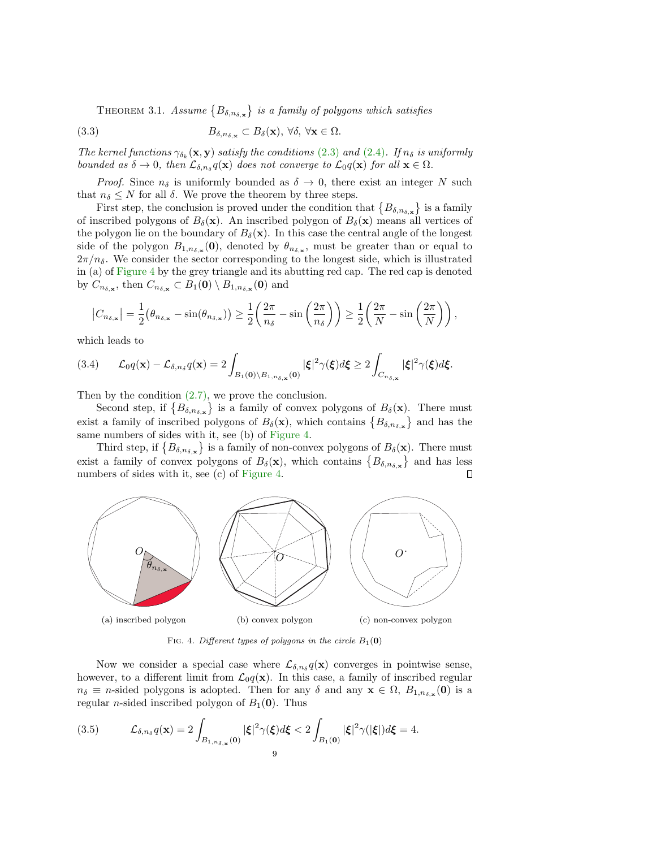<span id="page-8-1"></span>THEOREM 3.1. Assume  $\{B_{\delta,n_{\delta,\mathbf{x}}}\}\$ is a family of polygons which satisfies

(3.3) 
$$
B_{\delta,n_{\delta,\mathbf{x}}} \subset B_{\delta}(\mathbf{x}), \ \forall \delta, \ \forall \mathbf{x} \in \Omega.
$$

The kernel functions  $\gamma_{\delta_k}(\mathbf{x}, \mathbf{y})$  satisfy the conditions [\(2.3\)](#page-2-2) and [\(2.4\)](#page-2-3). If  $n_{\delta}$  is uniformly bounded as  $\delta \to 0$ , then  $\mathcal{L}_{\delta,n\delta}q(\mathbf{x})$  does not converge to  $\mathcal{L}_0q(\mathbf{x})$  for all  $\mathbf{x} \in \Omega$ .

*Proof.* Since  $n_{\delta}$  is uniformly bounded as  $\delta \rightarrow 0$ , there exist an integer N such that  $n_{\delta} \leq N$  for all  $\delta$ . We prove the theorem by three steps.

First step, the conclusion is proved under the condition that  $\{B_{\delta,n_{\delta,\mathbf{x}}}\}\)$  is a family of inscribed polygons of  $B_\delta(\mathbf{x})$ . An inscribed polygon of  $B_\delta(\mathbf{x})$  means all vertices of the polygon lie on the boundary of  $B_\delta(\mathbf{x})$ . In this case the central angle of the longest side of the polygon  $B_{1,n_{\delta,\mathbf{x}}}(\mathbf{0})$ , denoted by  $\theta_{n_{\delta,\mathbf{x}}}$ , must be greater than or equal to  $2\pi/n_\delta$ . We consider the sector corresponding to the longest side, which is illustrated in (a) of [Figure 4](#page-8-0) by the grey triangle and its abutting red cap. The red cap is denoted by  $C_{n_{\delta,\mathbf{x}}}$ , then  $C_{n_{\delta,\mathbf{x}}} \subset B_1(\mathbf{0}) \setminus B_{1,n_{\delta,\mathbf{x}}}(\mathbf{0})$  and

$$
|C_{n_{\delta,\mathbf{x}}}| = \frac{1}{2}(\theta_{n_{\delta,\mathbf{x}}} - \sin(\theta_{n_{\delta,\mathbf{x}}})) \ge \frac{1}{2}\left(\frac{2\pi}{n_{\delta}} - \sin\left(\frac{2\pi}{n_{\delta}}\right)\right) \ge \frac{1}{2}\left(\frac{2\pi}{N} - \sin\left(\frac{2\pi}{N}\right)\right),
$$

which leads to

$$
(3.4) \qquad \mathcal{L}_0 q(\mathbf{x}) - \mathcal{L}_{\delta, n_{\delta}} q(\mathbf{x}) = 2 \int_{B_1(\mathbf{0}) \backslash B_{1, n_{\delta, \mathbf{x}}}(\mathbf{0})} |\xi|^2 \gamma(\xi) d\xi \ge 2 \int_{C_{n_{\delta, \mathbf{x}}}} |\xi|^2 \gamma(\xi) d\xi.
$$

Then by the condition [\(2.7\),](#page-3-3) we prove the conclusion.

Second step, if  $\{B_{\delta,n_{\delta,\mathbf{x}}}\}\$ is a family of convex polygons of  $B_{\delta}(\mathbf{x})$ . There must exist a family of inscribed polygons of  $B_\delta(\mathbf{x})$ , which contains  $\{B_{\delta,n_{\delta,\mathbf{x}}}\}\$  and has the same numbers of sides with it, see (b) of [Figure 4.](#page-8-0)

Third step, if  $\{B_{\delta,n_{\delta,\mathbf{x}}}\}\$ is a family of non-convex polygons of  $B_{\delta}(\mathbf{x})$ . There must exist a family of convex polygons of  $B_\delta(\mathbf{x})$ , which contains  $\{B_{\delta,n_{\delta,\mathbf{x}}}\}\$  and has less numbers of sides with it, see (c) of [Figure 4.](#page-8-0)  $\Box$ 

<span id="page-8-0"></span>

FIG. 4. Different types of polygons in the circle  $B_1(0)$ 

Now we consider a special case where  $\mathcal{L}_{\delta,n\delta} q(\mathbf{x})$  converges in pointwise sense, however, to a different limit from  $\mathcal{L}_0 q(\mathbf{x})$ . In this case, a family of inscribed regular  $n_{\delta} \equiv n$ -sided polygons is adopted. Then for any  $\delta$  and any  $\mathbf{x} \in \Omega$ ,  $B_{1,n_{\delta,\mathbf{x}}}(\mathbf{0})$  is a regular *n*-sided inscribed polygon of  $B_1(\mathbf{0})$ . Thus

(3.5) 
$$
\mathcal{L}_{\delta,n_{\delta}}q(\mathbf{x})=2\int_{B_{1,n_{\delta,\mathbf{x}}}(\mathbf{0})}|\xi|^2\gamma(\xi)d\xi<2\int_{B_{1}(\mathbf{0})}|\xi|^2\gamma(|\xi|)d\xi=4.
$$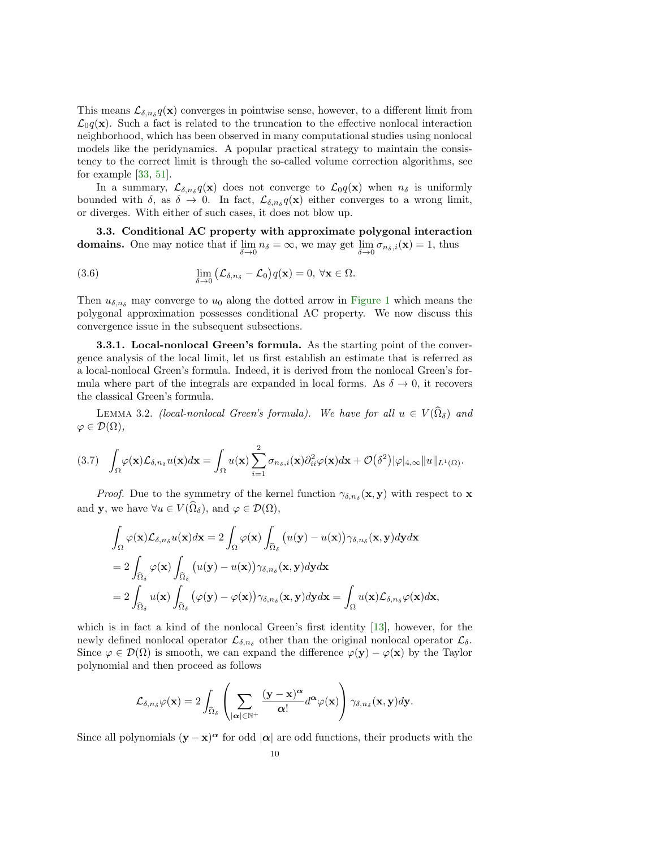This means  $\mathcal{L}_{\delta,n\delta} q(\mathbf{x})$  converges in pointwise sense, however, to a different limit from  $\mathcal{L}_0 q(\mathbf{x})$ . Such a fact is related to the truncation to the effective nonlocal interaction neighborhood, which has been observed in many computational studies using nonlocal models like the peridynamics. A popular practical strategy to maintain the consistency to the correct limit is through the so-called volume correction algorithms, see for example [\[33,](#page-21-11) [51\]](#page-21-12).

In a summary,  $\mathcal{L}_{\delta,n_{\delta}}q(\mathbf{x})$  does not converge to  $\mathcal{L}_0q(\mathbf{x})$  when  $n_{\delta}$  is uniformly bounded with  $\delta$ , as  $\delta \to 0$ . In fact,  $\mathcal{L}_{\delta,n_{\delta}}q(\mathbf{x})$  either converges to a wrong limit, or diverges. With either of such cases, it does not blow up.

<span id="page-9-0"></span>3.3. Conditional AC property with approximate polygonal interaction **domains.** One may notice that if  $\lim_{\delta \to 0} n_{\delta} = \infty$ , we may get  $\lim_{\delta \to 0} \sigma_{n_{\delta},i}(\mathbf{x}) = 1$ , thus

(3.6) 
$$
\lim_{\delta \to 0} (\mathcal{L}_{\delta,n_{\delta}} - \mathcal{L}_0) q(\mathbf{x}) = 0, \forall \mathbf{x} \in \Omega.
$$

Then  $u_{\delta,n_{\delta}}$  may converge to  $u_0$  along the dotted arrow in [Figure 1](#page-1-0) which means the polygonal approximation possesses conditional AC property. We now discuss this convergence issue in the subsequent subsections.

**3.3.1. Local-nonlocal Green's formula.** As the starting point of the convergence analysis of the local limit, let us first establish an estimate that is referred as a local-nonlocal Green's formula. Indeed, it is derived from the nonlocal Green's formula where part of the integrals are expanded in local forms. As  $\delta \to 0$ , it recovers the classical Green's formula.

LEMMA 3.2. (local-nonlocal Green's formula). We have for all  $u \in V(\hat{\Omega}_\delta)$  and  $\varphi \in \mathcal{D}(\Omega),$ 

<span id="page-9-1"></span>
$$
(3.7) \quad \int_{\Omega} \varphi(\mathbf{x}) \mathcal{L}_{\delta,n_{\delta}} u(\mathbf{x}) d\mathbf{x} = \int_{\Omega} u(\mathbf{x}) \sum_{i=1}^{2} \sigma_{n_{\delta},i}(\mathbf{x}) \partial_{ii}^{2} \varphi(\mathbf{x}) d\mathbf{x} + \mathcal{O}(\delta^{2}) |\varphi|_{4,\infty} \|u\|_{L^{1}(\Omega)}.
$$

*Proof.* Due to the symmetry of the kernel function  $\gamma_{\delta,n_{\delta}}(\mathbf{x},\mathbf{y})$  with respect to **x** and **y**, we have  $\forall u \in V(\widehat{\Omega}_{\delta}),$  and  $\varphi \in \mathcal{D}(\Omega)$ ,

$$
\int_{\Omega} \varphi(\mathbf{x}) \mathcal{L}_{\delta,n_{\delta}} u(\mathbf{x}) d\mathbf{x} = 2 \int_{\Omega} \varphi(\mathbf{x}) \int_{\widehat{\Omega}_{\delta}} (u(\mathbf{y}) - u(\mathbf{x})) \gamma_{\delta,n_{\delta}}(\mathbf{x}, \mathbf{y}) d\mathbf{y} d\mathbf{x}
$$
  
\n
$$
= 2 \int_{\widehat{\Omega}_{\delta}} \varphi(\mathbf{x}) \int_{\widehat{\Omega}_{\delta}} (u(\mathbf{y}) - u(\mathbf{x})) \gamma_{\delta,n_{\delta}}(\mathbf{x}, \mathbf{y}) d\mathbf{y} d\mathbf{x}
$$
  
\n
$$
= 2 \int_{\widehat{\Omega}_{\delta}} u(\mathbf{x}) \int_{\widehat{\Omega}_{\delta}} (\varphi(\mathbf{y}) - \varphi(\mathbf{x})) \gamma_{\delta,n_{\delta}}(\mathbf{x}, \mathbf{y}) d\mathbf{y} d\mathbf{x} = \int_{\Omega} u(\mathbf{x}) \mathcal{L}_{\delta,n_{\delta}} \varphi(\mathbf{x}) d\mathbf{x},
$$

which is in fact a kind of the nonlocal Green's first identity [\[13\]](#page-20-23), however, for the newly defined nonlocal operator  $\mathcal{L}_{\delta,n_{\delta}}$  other than the original nonlocal operator  $\mathcal{L}_{\delta}$ . Since  $\varphi \in \mathcal{D}(\Omega)$  is smooth, we can expand the difference  $\varphi(\mathbf{y}) - \varphi(\mathbf{x})$  by the Taylor polynomial and then proceed as follows

$$
\mathcal{L}_{\delta,n_{\delta}}\varphi(\mathbf{x})=2\int_{\widehat{\Omega}_{\delta}}\left(\sum_{|\boldsymbol{\alpha}|\in\mathbb{N}^{+}}\frac{(\mathbf{y}-\mathbf{x})^{\boldsymbol{\alpha}}}{\boldsymbol{\alpha}!}d^{\boldsymbol{\alpha}}\varphi(\mathbf{x})\right)\gamma_{\delta,n_{\delta}}(\mathbf{x},\mathbf{y})d\mathbf{y}.
$$

Since all polynomials  $(y - x)^{\alpha}$  for odd  $|\alpha|$  are odd functions, their products with the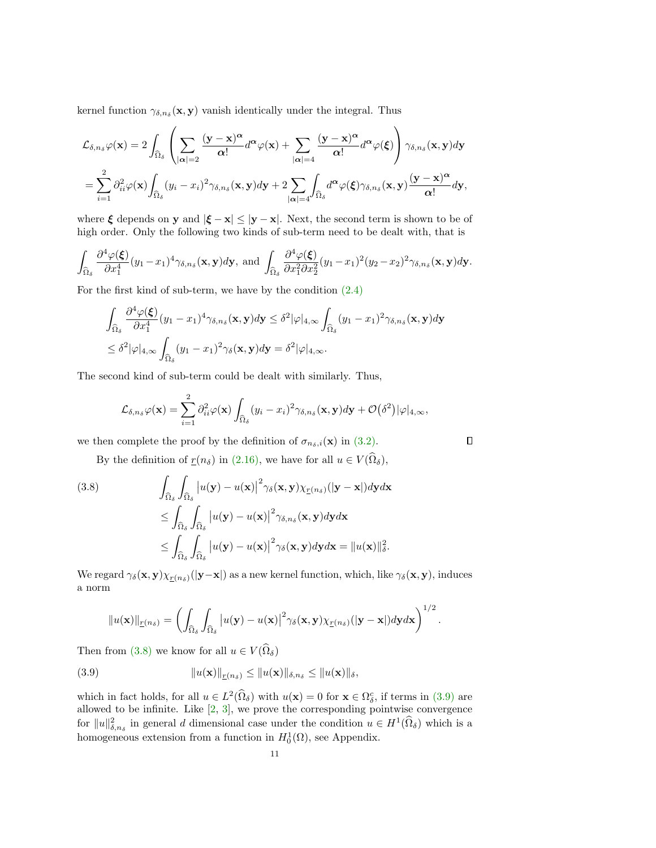kernel function  $\gamma_{\delta,n_{\delta}}(\mathbf{x},\mathbf{y})$  vanish identically under the integral. Thus

$$
\mathcal{L}_{\delta,n_{\delta}}\varphi(\mathbf{x}) = 2\int_{\widehat{\Omega}_{\delta}}\left(\sum_{|\boldsymbol{\alpha}|=2}\frac{(\mathbf{y}-\mathbf{x})^{\boldsymbol{\alpha}}}{\boldsymbol{\alpha}!}d^{\boldsymbol{\alpha}}\varphi(\mathbf{x}) + \sum_{|\boldsymbol{\alpha}|=4}\frac{(\mathbf{y}-\mathbf{x})^{\boldsymbol{\alpha}}}{\boldsymbol{\alpha}!}d^{\boldsymbol{\alpha}}\varphi(\boldsymbol{\xi})\right)\gamma_{\delta,n_{\delta}}(\mathbf{x},\mathbf{y})d\mathbf{y}
$$

$$
= \sum_{i=1}^{2}\partial_{ii}^{2}\varphi(\mathbf{x})\int_{\widehat{\Omega}_{\delta}}(y_{i}-x_{i})^{2}\gamma_{\delta,n_{\delta}}(\mathbf{x},\mathbf{y})d\mathbf{y} + 2\sum_{|\boldsymbol{\alpha}|=4}\int_{\widehat{\Omega}_{\delta}}d^{\boldsymbol{\alpha}}\varphi(\boldsymbol{\xi})\gamma_{\delta,n_{\delta}}(\mathbf{x},\mathbf{y})\frac{(\mathbf{y}-\mathbf{x})^{\boldsymbol{\alpha}}}{\boldsymbol{\alpha}!}d\mathbf{y},
$$

where  $\xi$  depends on y and  $|\xi - x| \leq |y - x|$ . Next, the second term is shown to be of high order. Only the following two kinds of sub-term need to be dealt with, that is

$$
\int_{\widehat{\Omega}_{\delta}} \frac{\partial^4 \varphi(\xi)}{\partial x_1^4} (y_1 - x_1)^4 \gamma_{\delta, n_{\delta}}(\mathbf{x}, \mathbf{y}) d\mathbf{y}, \text{ and } \int_{\widehat{\Omega}_{\delta}} \frac{\partial^4 \varphi(\xi)}{\partial x_1^2 \partial x_2^2} (y_1 - x_1)^2 (y_2 - x_2)^2 \gamma_{\delta, n_{\delta}}(\mathbf{x}, \mathbf{y}) d\mathbf{y}.
$$

For the first kind of sub-term, we have by the condition [\(2.4\)](#page-2-3)

$$
\int_{\widehat{\Omega}_{\delta}} \frac{\partial^4 \varphi(\boldsymbol{\xi})}{\partial x_1^4} (y_1 - x_1)^4 \gamma_{\delta, n_{\delta}}(\mathbf{x}, \mathbf{y}) d\mathbf{y} \le \delta^2 |\varphi|_{4,\infty} \int_{\widehat{\Omega}_{\delta}} (y_1 - x_1)^2 \gamma_{\delta, n_{\delta}}(\mathbf{x}, \mathbf{y}) d\mathbf{y}
$$
  

$$
\le \delta^2 |\varphi|_{4,\infty} \int_{\widehat{\Omega}_{\delta}} (y_1 - x_1)^2 \gamma_{\delta}(\mathbf{x}, \mathbf{y}) d\mathbf{y} = \delta^2 |\varphi|_{4,\infty}.
$$

The second kind of sub-term could be dealt with similarly. Thus,

$$
\mathcal{L}_{\delta,n_{\delta}}\varphi(\mathbf{x})=\sum_{i=1}^2\partial^2_{ii}\varphi(\mathbf{x})\int_{\widehat{\Omega}_{\delta}}(y_i-x_i)^2\gamma_{\delta,n_{\delta}}(\mathbf{x},\mathbf{y})d\mathbf{y}+\mathcal{O}(\delta^2)|\varphi|_{4,\infty},
$$

 $\Box$ 

we then complete the proof by the definition of  $\sigma_{n_{\delta},i}(\mathbf{x})$  in [\(3.2\).](#page-7-2)

By the definition of  $r(n_\delta)$  in [\(2.16\),](#page-6-2) we have for all  $u \in V(\widehat{\Omega}_\delta)$ ,

<span id="page-10-0"></span>(3.8) 
$$
\int_{\widehat{\Omega}_{\delta}} \int_{\widehat{\Omega}_{\delta}} |u(\mathbf{y}) - u(\mathbf{x})|^2 \gamma_{\delta}(\mathbf{x}, \mathbf{y}) \chi_{\mathcal{I}(n_{\delta})}(|\mathbf{y} - \mathbf{x}|) d\mathbf{y} d\mathbf{x} \n\leq \int_{\widehat{\Omega}_{\delta}} \int_{\widehat{\Omega}_{\delta}} |u(\mathbf{y}) - u(\mathbf{x})|^2 \gamma_{\delta, n_{\delta}}(\mathbf{x}, \mathbf{y}) d\mathbf{y} d\mathbf{x} \n\leq \int_{\widehat{\Omega}_{\delta}} \int_{\widehat{\Omega}_{\delta}} |u(\mathbf{y}) - u(\mathbf{x})|^2 \gamma_{\delta}(\mathbf{x}, \mathbf{y}) d\mathbf{y} d\mathbf{x} = ||u(\mathbf{x})||_{\delta}^2.
$$

We regard  $\gamma_{\delta}(\mathbf{x}, \mathbf{y}) \chi_{\underline{r}(n_{\delta})}(|\mathbf{y}-\mathbf{x}|)$  as a new kernel function, which, like  $\gamma_{\delta}(\mathbf{x}, \mathbf{y})$ , induces a norm

<span id="page-10-1"></span>
$$
||u(\mathbf{x})||_{\underline{r}(n_{\delta})} = \left(\int_{\widehat{\Omega}_{\delta}} \int_{\widehat{\Omega}_{\delta}} |u(\mathbf{y}) - u(\mathbf{x})|^2 \gamma_{\delta}(\mathbf{x}, \mathbf{y}) \chi_{\underline{r}(n_{\delta})}(|\mathbf{y} - \mathbf{x}|) d\mathbf{y} d\mathbf{x}\right)^{1/2}.
$$

Then from [\(3.8\)](#page-10-0) we know for all  $u \in V(\widehat{\Omega}_{\delta})$ 

(3.9) 
$$
||u(\mathbf{x})||_{\underline{r}(n_{\delta})} \leq ||u(\mathbf{x})||_{\delta, n_{\delta}} \leq ||u(\mathbf{x})||_{\delta},
$$

which in fact holds, for all  $u \in L^2(\hat{\Omega}_\delta)$  with  $u(\mathbf{x}) = 0$  for  $\mathbf{x} \in \Omega_\delta^c$ , if terms in [\(3.9\)](#page-10-1) are allowed to be infinite. Like [\[2,](#page-20-24) [3\]](#page-20-25), we prove the corresponding pointwise convergence for  $||u||_{\delta,n_\delta}^2$  in general d dimensional case under the condition  $u \in H^1(\hat{\Omega}_\delta)$  which is a homogeneous extension from a function in  $H_0^1(\Omega)$ , see Appendix.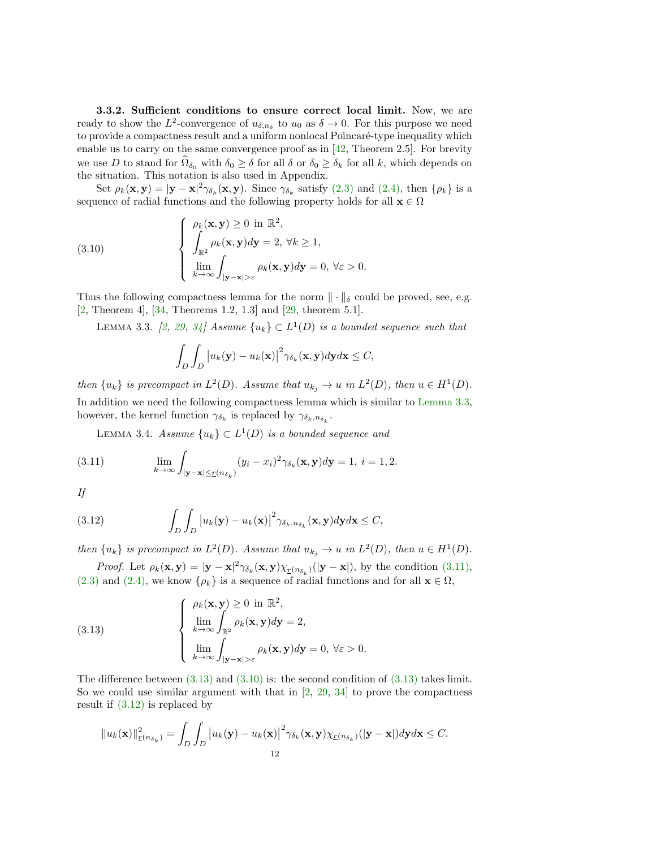3.3.2. Sufficient conditions to ensure correct local limit. Now, we are ready to show the  $L^2$ -convergence of  $u_{\delta,n_{\delta}}$  to  $u_0$  as  $\delta \to 0$ . For this purpose we need to provide a compactness result and a uniform nonlocal Poincaré-type inequality which enable us to carry on the same convergence proof as in  $[42,$  Theorem 2.5]. For brevity we use D to stand for  $\hat{\Omega}_{\delta_0}$  with  $\delta_0 \geq \delta$  for all  $\delta$  or  $\delta_0 \geq \delta_k$  for all k, which depends on the situation. This notation is also used in Appendix.

Set  $\rho_k(\mathbf{x}, \mathbf{y}) = |\mathbf{y} - \mathbf{x}|^2 \gamma_{\delta_k}(\mathbf{x}, \mathbf{y})$ . Since  $\gamma_{\delta_k}$  satisfy [\(2.3\)](#page-2-2) and [\(2.4\),](#page-2-3) then  $\{\rho_k\}$  is a sequence of radial functions and the following property holds for all  $\mathbf{x} \in \Omega$ 

<span id="page-11-3"></span>(3.10) 
$$
\begin{cases} \rho_k(\mathbf{x}, \mathbf{y}) \ge 0 \text{ in } \mathbb{R}^2, \\ \int_{\mathbb{R}^2} \rho_k(\mathbf{x}, \mathbf{y}) d\mathbf{y} = 2, \forall k \ge 1, \\ \lim_{k \to \infty} \int_{|\mathbf{y} - \mathbf{x}| > \varepsilon} \rho_k(\mathbf{x}, \mathbf{y}) d\mathbf{y} = 0, \forall \varepsilon > 0. \end{cases}
$$

Thus the following compactness lemma for the norm  $\|\cdot\|_{\delta}$  could be proved, see, e.g. [\[2,](#page-20-24) Theorem 4], [\[34,](#page-21-21) Theorems 1.2, 1.3] and [\[29,](#page-21-22) theorem 5.1].

LEMMA 3.3. [\[2,](#page-20-24) [29,](#page-21-22) [34\]](#page-21-21) Assume  ${u_k} \subset L^1(D)$  is a bounded sequence such that

<span id="page-11-5"></span><span id="page-11-0"></span>
$$
\int_D \int_D |u_k(\mathbf{y}) - u_k(\mathbf{x})|^2 \gamma_{\delta_k}(\mathbf{x}, \mathbf{y}) d\mathbf{y} d\mathbf{x} \leq C,
$$

then  $\{u_k\}$  is precompact in  $L^2(D)$ . Assume that  $u_{k_j} \to u$  in  $L^2(D)$ , then  $u \in H^1(D)$ . In addition we need the following compactness lemma which is similar to [Lemma 3.3,](#page-11-0) however, the kernel function  $\gamma_{\delta_k}$  is replaced by  $\gamma_{\delta_k,n_{\delta_k}}$ .

<span id="page-11-1"></span>LEMMA 3.4. Assume  ${u_k} \subset L^1(D)$  is a bounded sequence and

(3.11) 
$$
\lim_{k \to \infty} \int_{|\mathbf{y}-\mathbf{x}| \le r(n_{\delta_k})} (y_i - x_i)^2 \gamma_{\delta_k}(\mathbf{x}, \mathbf{y}) d\mathbf{y} = 1, \ i = 1, 2.
$$

If

<span id="page-11-4"></span>(3.12) 
$$
\int_{D} \int_{D} |u_{k}(\mathbf{y}) - u_{k}(\mathbf{x})|^{2} \gamma_{\delta_{k}, n_{\delta_{k}}}(\mathbf{x}, \mathbf{y}) d\mathbf{y} d\mathbf{x} \leq C,
$$

then  $\{u_k\}$  is precompact in  $L^2(D)$ . Assume that  $u_{k_j} \to u$  in  $L^2(D)$ , then  $u \in H^1(D)$ .

*Proof.* Let  $\rho_k(\mathbf{x}, \mathbf{y}) = |\mathbf{y} - \mathbf{x}|^2 \gamma_{\delta_k}(\mathbf{x}, \mathbf{y}) \chi_{\underline{r}(n_{\delta_k})}(|\mathbf{y} - \mathbf{x}|)$ , by the condition [\(3.11\),](#page-11-1)  $(2.3)$  and  $(2.4)$ , we know  $\{\rho_k\}$  is a sequence of radial functions and for all  $\mathbf{x} \in \Omega$ ,

<span id="page-11-2"></span>(3.13) 
$$
\begin{cases} \rho_k(\mathbf{x}, \mathbf{y}) \ge 0 \text{ in } \mathbb{R}^2, \\ \lim_{k \to \infty} \int_{\mathbb{R}^2} \rho_k(\mathbf{x}, \mathbf{y}) d\mathbf{y} = 2, \\ \lim_{k \to \infty} \int_{|\mathbf{y} - \mathbf{x}| > \varepsilon} \rho_k(\mathbf{x}, \mathbf{y}) d\mathbf{y} = 0, \ \forall \varepsilon > 0. \end{cases}
$$

The difference between  $(3.13)$  and  $(3.10)$  is: the second condition of  $(3.13)$  takes limit. So we could use similar argument with that in  $[2, 29, 34]$  $[2, 29, 34]$  $[2, 29, 34]$  $[2, 29, 34]$  $[2, 29, 34]$  to prove the compactness result if [\(3.12\)](#page-11-4) is replaced by

$$
||u_k(\mathbf{x})||_{\underline{r}(n_{\delta_k})}^2 = \int_D \int_D |u_k(\mathbf{y}) - u_k(\mathbf{x})|^2 \gamma_{\delta_k}(\mathbf{x}, \mathbf{y}) \chi_{\underline{r}(n_{\delta_k})}(|\mathbf{y} - \mathbf{x}|) d\mathbf{y} d\mathbf{x} \leq C.
$$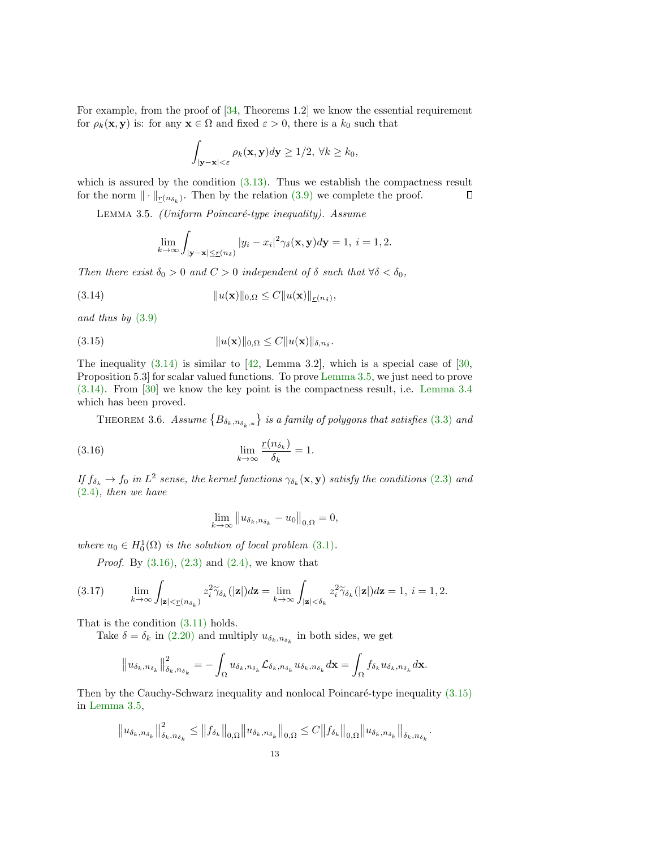For example, from the proof of [\[34,](#page-21-21) Theorems 1.2] we know the essential requirement for  $\rho_k(\mathbf{x}, \mathbf{y})$  is: for any  $\mathbf{x} \in \Omega$  and fixed  $\varepsilon > 0$ , there is a  $k_0$  such that

$$
\int_{|\mathbf{y}-\mathbf{x}|<\varepsilon} \rho_k(\mathbf{x}, \mathbf{y}) d\mathbf{y} \ge 1/2, \ \forall k \ge k_0,
$$

which is assured by the condition  $(3.13)$ . Thus we establish the compactness result for the norm  $\|\cdot\|_{\underline{r}(n_{\delta_k})}$ . Then by the relation  $(3.9)$  we complete the proof.  $\Box$ 

<span id="page-12-1"></span>LEMMA 3.5. (Uniform Poincaré-type inequality). Assume

<span id="page-12-3"></span><span id="page-12-0"></span>
$$
\lim_{k \to \infty} \int_{|\mathbf{y}-\mathbf{x}| \le r(n_\delta)} |y_i - x_i|^2 \gamma_\delta(\mathbf{x}, \mathbf{y}) d\mathbf{y} = 1, \ i = 1, 2.
$$

Then there exist  $\delta_0 > 0$  and  $C > 0$  independent of  $\delta$  such that  $\forall \delta < \delta_0$ ,

(3.14) 
$$
||u(\mathbf{x})||_{0,\Omega} \leq C||u(\mathbf{x})||_{\underline{r}(n_{\delta})},
$$

and thus by [\(3.9\)](#page-10-1)

(3.15) 
$$
||u(\mathbf{x})||_{0,\Omega} \leq C||u(\mathbf{x})||_{\delta,n_{\delta}}.
$$

The inequality  $(3.14)$  is similar to  $[42, \text{ Lemma } 3.2]$  $[42, \text{ Lemma } 3.2]$ , which is a special case of  $[30, \text{$  $[30, \text{$ Proposition 5.3] for scalar valued functions. To prove [Lemma 3.5,](#page-12-1) we just need to prove [\(3.14\).](#page-12-0) From [\[30\]](#page-21-19) we know the key point is the compactness result, i.e. [Lemma 3.4](#page-11-5) which has been proved.

<span id="page-12-5"></span>THEOREM 3.6. Assume  $\{B_{\delta_k,n_{\delta_k},{\bf x}}\}$  is a family of polygons that satisfies [\(3.3\)](#page-8-1) and

(3.16) 
$$
\lim_{k \to \infty} \frac{\underline{r}(n_{\delta_k})}{\delta_k} = 1.
$$

If  $f_{\delta_k} \to f_0$  in  $L^2$  sense, the kernel functions  $\gamma_{\delta_k}(\mathbf{x}, \mathbf{y})$  satisfy the conditions [\(2.3\)](#page-2-2) and [\(2.4\)](#page-2-3), then we have

<span id="page-12-2"></span>
$$
\lim_{k \to \infty} ||u_{\delta_k, n_{\delta_k}} - u_0||_{0,\Omega} = 0,
$$

where  $u_0 \in H_0^1(\Omega)$  is the solution of local problem [\(3.1\)](#page-7-3).

<span id="page-12-4"></span>*Proof.* By  $(3.16)$ ,  $(2.3)$  and  $(2.4)$ , we know that

$$
(3.17) \qquad \lim_{k \to \infty} \int_{|\mathbf{z}| < \underline{r}(n_{\delta_k})} z_i^2 \widetilde{\gamma}_{\delta_k}(|\mathbf{z}|) d\mathbf{z} = \lim_{k \to \infty} \int_{|\mathbf{z}| < \delta_k} z_i^2 \widetilde{\gamma}_{\delta_k}(|\mathbf{z}|) d\mathbf{z} = 1, \ i = 1, 2.
$$

That is the condition [\(3.11\)](#page-11-1) holds.

Take  $\delta = \delta_k$  in [\(2.20\)](#page-6-1) and multiply  $u_{\delta_k, n_{\delta_k}}$  in both sides, we get

$$
\left\|u_{\delta_k,n_{\delta_k}}\right\|_{\delta_k,n_{\delta_k}}^2=-\int_{\Omega}u_{\delta_k,n_{\delta_k}}\mathcal{L}_{\delta_k,n_{\delta_k}}u_{\delta_k,n_{\delta_k}}d\mathbf{x}=\int_{\Omega}f_{\delta_k}u_{\delta_k,n_{\delta_k}}d\mathbf{x}.
$$

Then by the Cauchy-Schwarz inequality and nonlocal Poincaré-type inequality  $(3.15)$ in [Lemma 3.5,](#page-12-1)

$$
||u_{\delta_k, n_{\delta_k}}||_{\delta_k, n_{\delta_k}}^2 \le ||f_{\delta_k}||_{0,\Omega} ||u_{\delta_k, n_{\delta_k}}||_{0,\Omega} \le C ||f_{\delta_k}||_{0,\Omega} ||u_{\delta_k, n_{\delta_k}}||_{\delta_k, n_{\delta_k}}.
$$
  
13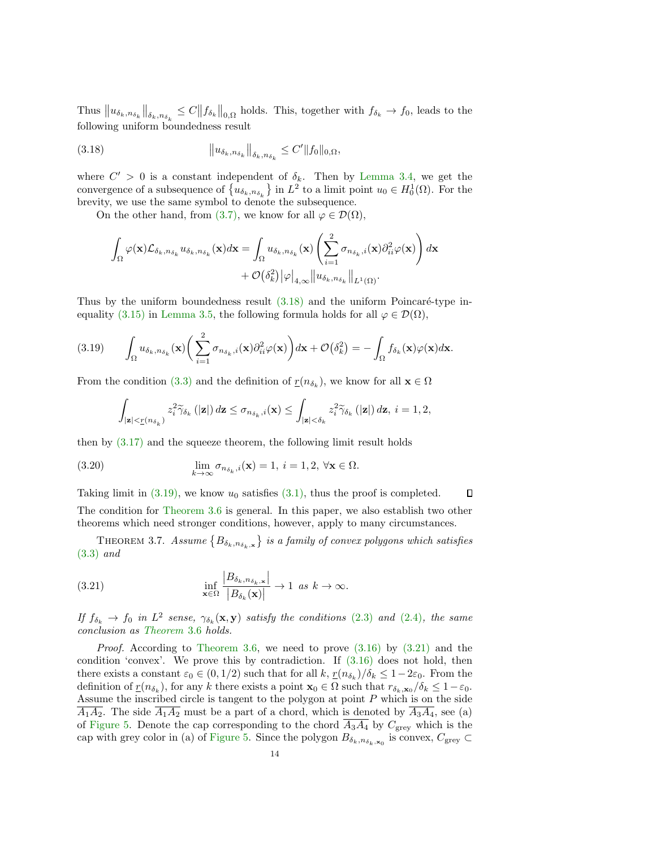Thus  $||u_{\delta_k,n_{\delta_k}}||_{\delta_k,n_{\delta_k}} \leq C||f_{\delta_k}||_{0,\Omega}$  holds. This, together with  $f_{\delta_k} \to f_0$ , leads to the following uniform boundedness result

<span id="page-13-0"></span>(3.18) 
$$
\|u_{\delta_k, n_{\delta_k}}\|_{\delta_k, n_{\delta_k}} \leq C' \|f_0\|_{0,\Omega},
$$

where  $C' > 0$  is a constant independent of  $\delta_k$ . Then by [Lemma 3.4,](#page-11-5) we get the convergence of a subsequence of  $\{u_{\delta_k,n_{\delta_k}}\}$  in  $L^2$  to a limit point  $u_0 \in H_0^1(\Omega)$ . For the brevity, we use the same symbol to denote the subsequence.

On the other hand, from [\(3.7\),](#page-9-1) we know for all  $\varphi \in \mathcal{D}(\Omega)$ .

$$
\int_{\Omega} \varphi(\mathbf{x}) \mathcal{L}_{\delta_k, n_{\delta_k}} u_{\delta_k, n_{\delta_k}}(\mathbf{x}) d\mathbf{x} = \int_{\Omega} u_{\delta_k, n_{\delta_k}}(\mathbf{x}) \left( \sum_{i=1}^2 \sigma_{n_{\delta_k}, i}(\mathbf{x}) \partial_{ii}^2 \varphi(\mathbf{x}) \right) d\mathbf{x} + \mathcal{O}(\delta_k^2) |\varphi|_{4,\infty} ||u_{\delta_k, n_{\delta_k}}||_{L^1(\Omega)}.
$$

Thus by the uniform boundedness result  $(3.18)$  and the uniform Poincaré-type in-equality [\(3.15\)](#page-12-3) in [Lemma 3.5,](#page-12-1) the following formula holds for all  $\varphi \in \mathcal{D}(\Omega)$ ,

<span id="page-13-1"></span>
$$
(3.19) \qquad \int_{\Omega} u_{\delta_k, n_{\delta_k}}(\mathbf{x}) \bigg(\sum_{i=1}^2 \sigma_{n_{\delta_k}, i}(\mathbf{x}) \partial_{ii}^2 \varphi(\mathbf{x})\bigg) d\mathbf{x} + \mathcal{O}(\delta_k^2) = -\int_{\Omega} f_{\delta_k}(\mathbf{x}) \varphi(\mathbf{x}) d\mathbf{x}.
$$

From the condition [\(3.3\)](#page-8-1) and the definition of  $\underline{r}(n_{\delta_k})$ , we know for all  $\mathbf{x} \in \Omega$ 

<span id="page-13-3"></span>
$$
\int_{\vert {\bf z}\vert < \underline{r}(n_{\delta_k})} z_i^2 \widetilde{\gamma}_{\delta_k}\left(\vert {\bf z}\vert\right) d{\bf z} \leq \sigma_{n_{\delta_k},i}({\bf x}) \leq \int_{\vert {\bf z}\vert < \delta_k} z_i^2 \widetilde{\gamma}_{\delta_k}\left(\vert {\bf z}\vert\right) d{\bf z}, \ i=1,2,
$$

then by [\(3.17\)](#page-12-4) and the squeeze theorem, the following limit result holds

(3.20) 
$$
\lim_{k \to \infty} \sigma_{n_{\delta_k},i}(\mathbf{x}) = 1, i = 1, 2, \forall \mathbf{x} \in \Omega.
$$

 $\Box$ Taking limit in  $(3.19)$ , we know  $u_0$  satisfies  $(3.1)$ , thus the proof is completed. The condition for [Theorem 3.6](#page-12-5) is general. In this paper, we also establish two other theorems which need stronger conditions, however, apply to many circumstances.

THEOREM 3.7. Assume  $\{B_{\delta_k,n_{\delta_k},{\bf x}}\}$  is a family of convex polygons which satisfies [\(3.3\)](#page-8-1) and

<span id="page-13-2"></span>(3.21) 
$$
\inf_{\mathbf{x}\in\Omega}\frac{|B_{\delta_k,n_{\delta_k,\mathbf{x}}}|}{|B_{\delta_k}(\mathbf{x})|}\to 1 \text{ as } k\to\infty.
$$

If  $f_{\delta_k} \to f_0$  in  $L^2$  sense,  $\gamma_{\delta_k}(\mathbf{x}, \mathbf{y})$  satisfy the conditions [\(2.3\)](#page-2-2) and [\(2.4\)](#page-2-3), the same conclusion as [Theorem](#page-12-5) 3.6 holds.

*Proof.* According to [Theorem 3.6,](#page-12-5) we need to prove  $(3.16)$  by  $(3.21)$  and the condition 'convex'. We prove this by contradiction. If [\(3.16\)](#page-12-2) does not hold, then there exists a constant  $\varepsilon_0 \in (0, 1/2)$  such that for all  $k, \frac{r(n_{\delta_k})}{\delta_k} \leq 1-2\varepsilon_0$ . From the definition of  $\underline{r}(n_{\delta_k})$ , for any k there exists a point  $\mathbf{x}_0 \in \Omega$  such that  $r_{\delta_k, \mathbf{x}_0}/\delta_k \leq 1 - \varepsilon_0$ . Assume the inscribed circle is tangent to the polygon at point  $P$  which is on the side  $\overline{A_1A_2}$ . The side  $\overline{A_1A_2}$  must be a part of a chord, which is denoted by  $\overline{A_3A_4}$ , see (a) of [Figure 5.](#page-14-0) Denote the cap corresponding to the chord  $\overline{A_3A_4}$  by  $C_{\text{grey}}$  which is the cap with grey color in (a) of [Figure 5.](#page-14-0) Since the polygon  $B_{\delta_k,n_{\delta_k},\mathbf{x}_0}$  is convex,  $C_{\text{grey}} \subset$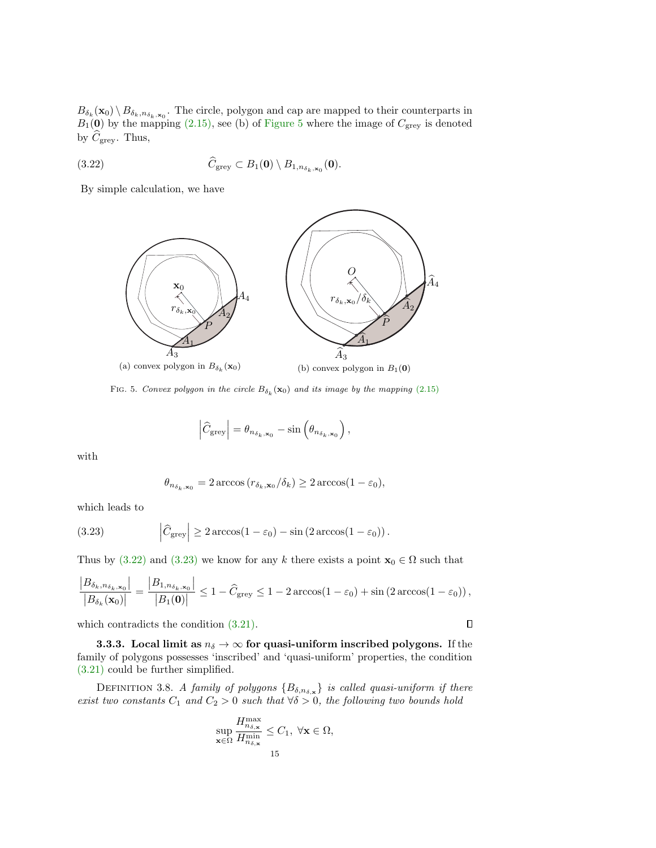$B_{\delta_k}(\mathbf{x}_0) \setminus B_{\delta_k,n_{\delta_k},\mathbf{x}_0}$ . The circle, polygon and cap are mapped to their counterparts in  $B_1(\mathbf{0})$  by the mapping [\(2.15\),](#page-6-3) see (b) of [Figure 5](#page-14-0) where the image of  $C_{\text{grey}}$  is denoted by  $C_{\text{grey}}$ . Thus,

(3.22) 
$$
\widehat{C}_{\text{grey}} \subset B_1(\mathbf{0}) \setminus B_{1, n_{\delta_k, \mathbf{x}_0}}(\mathbf{0}).
$$

<span id="page-14-0"></span>By simple calculation, we have

<span id="page-14-1"></span>

FIG. 5. Convex polygon in the circle  $B_{\delta_k}(\mathbf{x}_0)$  and its image by the mapping [\(2.15\)](#page-6-3)

$$
\left|\widehat{C}_{\text{grey}}\right| = \theta_{n_{\delta_k, \mathbf{x}_0}} - \sin\left(\theta_{n_{\delta_k, \mathbf{x}_0}}\right),
$$

with

<span id="page-14-2"></span>
$$
\theta_{n_{\delta_k, \mathbf{x}_0}} = 2 \arccos(r_{\delta_k, \mathbf{x}_0}/\delta_k) \ge 2 \arccos(1 - \varepsilon_0),
$$

which leads to

(3.23) 
$$
\left|\widehat{C}_{\text{grey}}\right| \geq 2 \arccos(1 - \varepsilon_0) - \sin(2 \arccos(1 - \varepsilon_0)).
$$

Thus by [\(3.22\)](#page-14-1) and [\(3.23\)](#page-14-2) we know for any k there exists a point  $\mathbf{x}_0 \in \Omega$  such that

$$
\frac{|B_{\delta_k, n_{\delta_k}, \mathbf{x}_0}|}{|B_{\delta_k}(\mathbf{x}_0)|} = \frac{|B_{1, n_{\delta_k}, \mathbf{x}_0}|}{|B_1(\mathbf{0})|} \le 1 - \widehat{C}_{\text{grey}} \le 1 - 2 \arccos(1 - \varepsilon_0) + \sin(2 \arccos(1 - \varepsilon_0)),
$$

which contradicts the condition [\(3.21\).](#page-13-2)

 $\Box$ 

**3.3.3.** Local limit as  $n_{\delta} \rightarrow \infty$  for quasi-uniform inscribed polygons. If the family of polygons possesses 'inscribed' and 'quasi-uniform' properties, the condition [\(3.21\)](#page-13-2) could be further simplified.

DEFINITION 3.8. A family of polygons  $\{B_{\delta,n_{\delta,\mathbf{x}}}\}\$  is called quasi-uniform if there exist two constants  $C_1$  and  $C_2 > 0$  such that  $\forall \delta > 0$ , the following two bounds hold

$$
\sup_{\mathbf{x}\in\Omega}\frac{H_{n_{\delta,\mathbf{x}}}^{\max}}{H_{n_{\delta,\mathbf{x}}}^{\min}}\leq C_1,\;\forall\mathbf{x}\in\Omega,
$$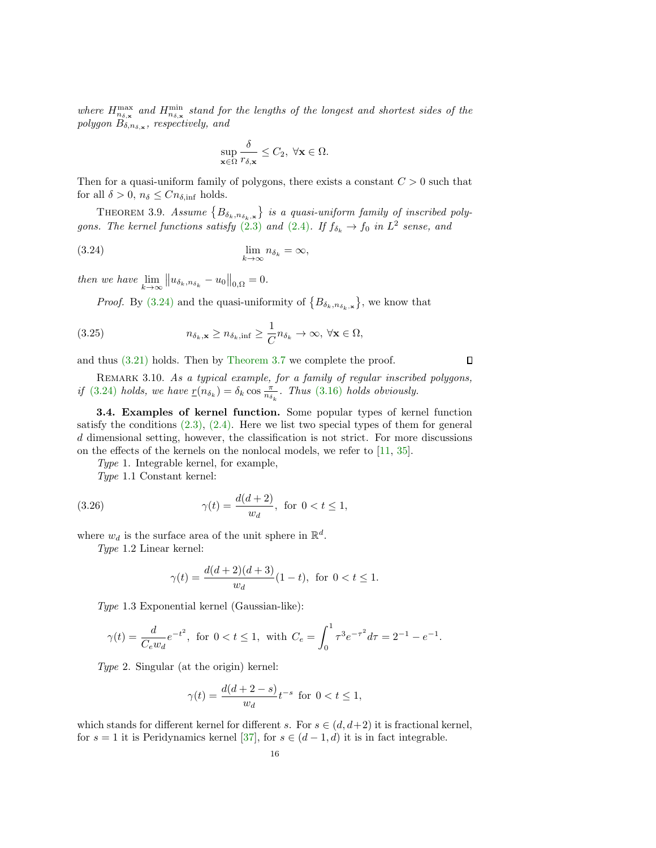where  $H_{n_{\delta,\mathbf{x}}}^{\text{max}}$  and  $H_{n_{\delta,\mathbf{x}}}^{\text{min}}$  stand for the lengths of the longest and shortest sides of the polygon  $B_{\delta,n_{\delta,\mathbf{x}}},$  respectively, and

<span id="page-15-2"></span><span id="page-15-1"></span>
$$
\sup_{\mathbf{x}\in\Omega}\frac{\delta}{r_{\delta,\mathbf{x}}}\leq C_2, \ \forall \mathbf{x}\in\Omega.
$$

Then for a quasi-uniform family of polygons, there exists a constant  $C > 0$  such that for all  $\delta > 0$ ,  $n_{\delta} \leq C n_{\delta, \text{inf}}$  holds.

THEOREM 3.9. Assume  $\{B_{\delta_k,n_{\delta_k},\mathbf{x}}\}$  is a quasi-uniform family of inscribed poly-gons. The kernel functions satisfy [\(2.3\)](#page-2-2) and [\(2.4\)](#page-2-3). If  $f_{\delta_k} \to f_0$  in  $L^2$  sense, and

$$
\lim_{k \to \infty} n_{\delta_k} = \infty,
$$

then we have  $\lim_{k \to \infty} ||u_{\delta_k, n_{\delta_k}} - u_0||_{0,\Omega} = 0.$ 

*Proof.* By [\(3.24\)](#page-15-1) and the quasi-uniformity of  $\{B_{\delta_k,n_{\delta_k,\mathbf{x}}}\}\)$ , we know that

(3.25) 
$$
n_{\delta_k, \mathbf{x}} \ge n_{\delta_k, \inf} \ge \frac{1}{C} n_{\delta_k} \to \infty, \forall \mathbf{x} \in \Omega,
$$

and thus [\(3.21\)](#page-13-2) holds. Then by [Theorem 3.7](#page-13-3) we complete the proof.

<span id="page-15-3"></span>REMARK 3.10. As a typical example, for a family of regular inscribed polygons, if [\(3.24\)](#page-15-1) holds, we have  $\underline{r}(n_{\delta_k}) = \delta_k \cos \frac{\pi}{n_{\delta_k}}$ . Thus [\(3.16\)](#page-12-2) holds obviously.

<span id="page-15-0"></span>3.4. Examples of kernel function. Some popular types of kernel function satisfy the conditions  $(2.3)$ ,  $(2.4)$ . Here we list two special types of them for general d dimensional setting, however, the classification is not strict. For more discussions on the effects of the kernels on the nonlocal models, we refer to [\[11,](#page-20-0) [35\]](#page-21-23).

Type 1. Integrable kernel, for example,

Type 1.1 Constant kernel:

(3.26) 
$$
\gamma(t) = \frac{d(d+2)}{w_d}, \text{ for } 0 < t \le 1,
$$

where  $w_d$  is the surface area of the unit sphere in  $\mathbb{R}^d$ .

Type 1.2 Linear kernel:

<span id="page-15-4"></span>
$$
\gamma(t) = \frac{d(d+2)(d+3)}{w_d}(1-t), \text{ for } 0 < t \le 1.
$$

Type 1.3 Exponential kernel (Gaussian-like):

$$
\gamma(t) = \frac{d}{C_e w_d} e^{-t^2}
$$
, for  $0 < t \le 1$ , with  $C_e = \int_0^1 \tau^3 e^{-\tau^2} d\tau = 2^{-1} - e^{-1}$ .

Type 2. Singular (at the origin) kernel:

$$
\gamma(t) = \frac{d(d+2-s)}{w_d} t^{-s} \text{ for } 0 < t \le 1,
$$

which stands for different kernel for different s. For  $s \in (d, d+2)$  it is fractional kernel, for  $s = 1$  it is Peridynamics kernel [\[37\]](#page-21-9), for  $s \in (d-1, d)$  it is in fact integrable.

 $\Box$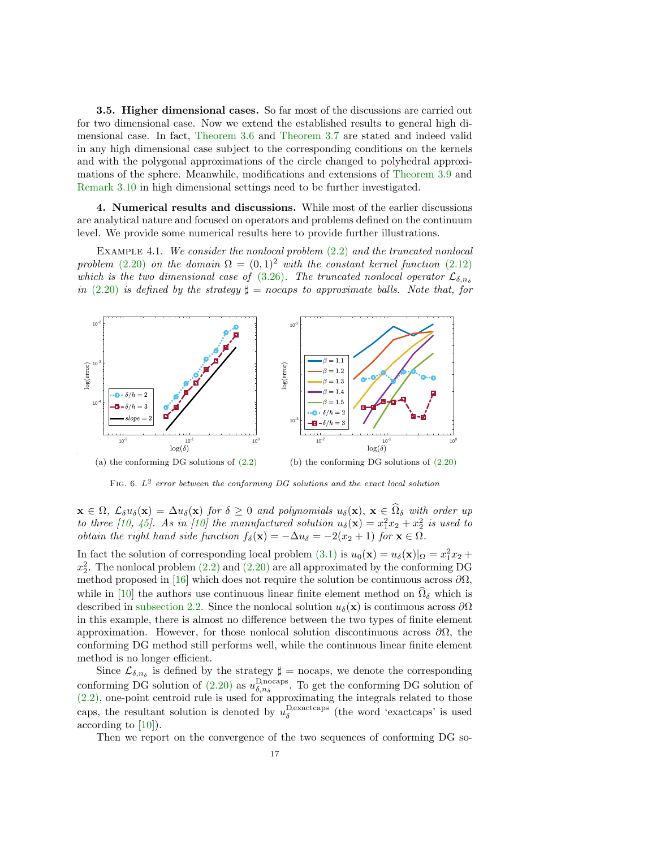<span id="page-16-0"></span>3.5. Higher dimensional cases. So far most of the discussions are carried out for two dimensional case. Now we extend the established results to general high dimensional case. In fact, [Theorem 3.6](#page-12-5) and [Theorem 3.7](#page-13-3) are stated and indeed valid in any high dimensional case subject to the corresponding conditions on the kernels and with the polygonal approximations of the circle changed to polyhedral approximations of the sphere. Meanwhile, modifications and extensions of [Theorem 3.9](#page-15-2) and [Remark 3.10](#page-15-3) in high dimensional settings need to be further investigated.

<span id="page-16-1"></span>4. Numerical results and discussions. While most of the earlier discussions are analytical nature and focused on operators and problems defined on the continuum level. We provide some numerical results here to provide further illustrations.

EXAMPLE 4.1. We consider the nonlocal problem  $(2.2)$  and the truncated nonlocal problem [\(2.20\)](#page-6-1) on the domain  $\Omega = (0,1)^2$  with the constant kernel function [\(2.12\)](#page-5-1) which is the two dimensional case of [\(3.26\)](#page-15-4). The truncated nonlocal operator  $\mathcal{L}_{\delta,n_{\delta}}$ in [\(2.20\)](#page-6-1) is defined by the strategy  $\sharp$  = nocaps to approximate balls. Note that, for

<span id="page-16-2"></span>

FIG. 6.  $L^2$  error between the conforming DG solutions and the exact local solution

 $\mathbf{x} \in \Omega$ ,  $\mathcal{L}_{\delta}u_{\delta}(\mathbf{x}) = \Delta u_{\delta}(\mathbf{x})$  for  $\delta \geq 0$  and polynomials  $u_{\delta}(\mathbf{x})$ ,  $\mathbf{x} \in \Omega_{\delta}$  with order up to three [\[10,](#page-20-17) [45\]](#page-21-10). As in [\[10\]](#page-20-17) the manufactured solution  $u_{\delta}(\mathbf{x}) = x_1^2 x_2 + x_2^2$  is used to obtain the right hand side function  $f_{\delta}(\mathbf{x}) = -\Delta u_{\delta} = -2(x_2 + 1)$  for  $\mathbf{x} \in \Omega$ .

In fact the solution of corresponding local problem  $(3.1)$  is  $u_0(\mathbf{x}) = u_\delta(\mathbf{x})|_{\Omega} = x_1^2 x_2 +$  $x_2^2$ . The nonlocal problem  $(2.2)$  and  $(2.20)$  are all approximated by the conforming DG method proposed in [\[16\]](#page-20-13) which does not require the solution be continuous across  $\partial\Omega$ , while in [\[10\]](#page-20-17) the authors use continuous linear finite element method on  $\hat{\Omega}_{\delta}$  which is described in [subsection 2.2.](#page-3-4) Since the nonlocal solution  $u_{\delta}(\mathbf{x})$  is continuous across  $\partial\Omega$ in this example, there is almost no difference between the two types of finite element approximation. However, for those nonlocal solution discontinuous across  $\partial\Omega$ , the conforming DG method still performs well, while the continuous linear finite element method is no longer efficient.

Since  $\mathcal{L}_{\delta,n_{\delta}}$  is defined by the strategy  $\sharp =$  nocaps, we denote the corresponding conforming DG solution of [\(2.20\)](#page-6-1) as  $u_{\delta,n_{\delta}}^{\text{D} \text{nocaps}}$ . To get the conforming DG solution of [\(2.2\),](#page-2-4) one-point centroid rule is used for approximating the integrals related to those caps, the resultant solution is denoted by  $u_{\delta}^{\text{Dexactcaps}}$  (the word 'exactcaps' is used according to [\[10\]](#page-20-17)).

Then we report on the convergence of the two sequences of conforming DG so-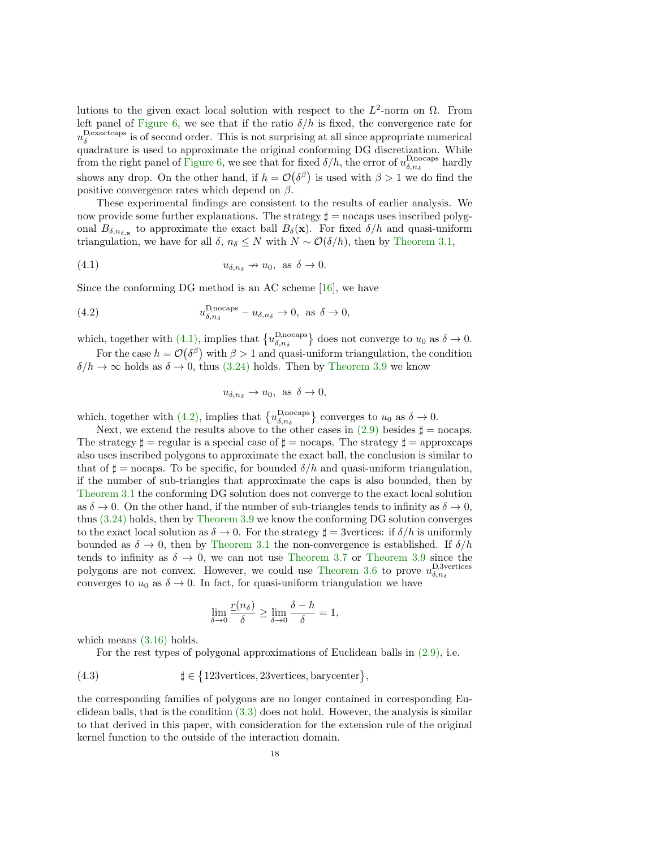lutions to the given exact local solution with respect to the  $L^2$ -norm on  $\Omega$ . From left panel of [Figure 6,](#page-16-2) we see that if the ratio  $\delta/h$  is fixed, the convergence rate for  $u_{\delta}^{\text{Dexactcaps}}$  is of second order. This is not surprising at all since appropriate numerical quadrature is used to approximate the original conforming DG discretization. While from the right panel of [Figure 6,](#page-16-2) we see that for fixed  $\delta/h$ , the error of  $u_{\delta,n_{\delta}}^{\text{Dnocaps}}$  hardly shows any drop. On the other hand, if  $h = \mathcal{O}(\delta^{\beta})$  is used with  $\beta > 1$  we do find the positive convergence rates which depend on  $\beta$ .

These experimental findings are consistent to the results of earlier analysis. We now provide some further explanations. The strategy  $\sharp =$  nocaps uses inscribed polygonal  $B_{\delta,n_{\delta,\mathbf{x}}}$  to approximate the exact ball  $B_{\delta}(\mathbf{x})$ . For fixed  $\delta/h$  and quasi-uniform triangulation, we have for all  $\delta$ ,  $n_{\delta} \leq N$  with  $N \sim \mathcal{O}(\delta/h)$ , then by [Theorem 3.1,](#page-7-4)

(4.1) 
$$
u_{\delta,n_{\delta}} \to u_0, \text{ as } \delta \to 0.
$$

Since the conforming DG method is an AC scheme [\[16\]](#page-20-13), we have

(4.2) 
$$
u_{\delta, n_{\delta}}^{\text{D,nocaps}} - u_{\delta, n_{\delta}} \to 0, \text{ as } \delta \to 0,
$$

which, together with [\(4.1\),](#page-17-0) implies that  $\{u_{\delta,n_{\delta}}^{\text{Dnocaps}}\}$  does not converge to  $u_0$  as  $\delta \to 0$ .

For the case  $h = \mathcal{O}(\delta^{\beta})$  with  $\beta > 1$  and quasi-uniform triangulation, the condition  $\delta/h \to \infty$  holds as  $\delta \to 0$ , thus [\(3.24\)](#page-15-1) holds. Then by [Theorem 3.9](#page-15-2) we know

<span id="page-17-1"></span><span id="page-17-0"></span>
$$
u_{\delta,n_{\delta}} \to u_0, \text{ as } \delta \to 0,
$$

which, together with [\(4.2\),](#page-17-1) implies that  $\{u_{\delta,n_{\delta}}^{\text{D} \text{nocaps}}\}$  converges to  $u_0$  as  $\delta \to 0$ .

Next, we extend the results above to the other cases in  $(2.9)$  besides  $\sharp$  = nocaps. The strategy  $\sharp =$  regular is a special case of  $\xi =$  nocaps. The strategy  $\xi =$  approxcaps also uses inscribed polygons to approximate the exact ball, the conclusion is similar to that of  $\sharp$  = nocaps. To be specific, for bounded  $\delta/h$  and quasi-uniform triangulation, if the number of sub-triangles that approximate the caps is also bounded, then by [Theorem 3.1](#page-7-4) the conforming DG solution does not converge to the exact local solution as  $\delta \to 0$ . On the other hand, if the number of sub-triangles tends to infinity as  $\delta \to 0$ , thus [\(3.24\)](#page-15-1) holds, then by [Theorem 3.9](#page-15-2) we know the conforming DG solution converges to the exact local solution as  $\delta \to 0$ . For the strategy  $\sharp = 3$ vertices: if  $\delta/h$  is uniformly bounded as  $\delta \to 0$ , then by [Theorem 3.1](#page-7-4) the non-convergence is established. If  $\delta/h$ tends to infinity as  $\delta \to 0$ , we can not use [Theorem 3.7](#page-13-3) or [Theorem 3.9](#page-15-2) since the polygons are not convex. However, we could use [Theorem 3.6](#page-12-5) to prove  $u_{\delta,n_{\delta}}^{\text{D,3vertices}}$ converges to  $u_0$  as  $\delta \to 0$ . In fact, for quasi-uniform triangulation we have

$$
\lim_{\delta \to 0} \frac{r(n_{\delta})}{\delta} \ge \lim_{\delta \to 0} \frac{\delta - h}{\delta} = 1,
$$

which means  $(3.16)$  holds.

For the rest types of polygonal approximations of Euclidean balls in [\(2.9\),](#page-4-2) i.e.

(4.3) 
$$
\sharp \in \{123 \text{vertices}, 23 \text{vertices}, \text{barycenter}\},
$$

the corresponding families of polygons are no longer contained in corresponding Euclidean balls, that is the condition  $(3.3)$  does not hold. However, the analysis is similar to that derived in this paper, with consideration for the extension rule of the original kernel function to the outside of the interaction domain.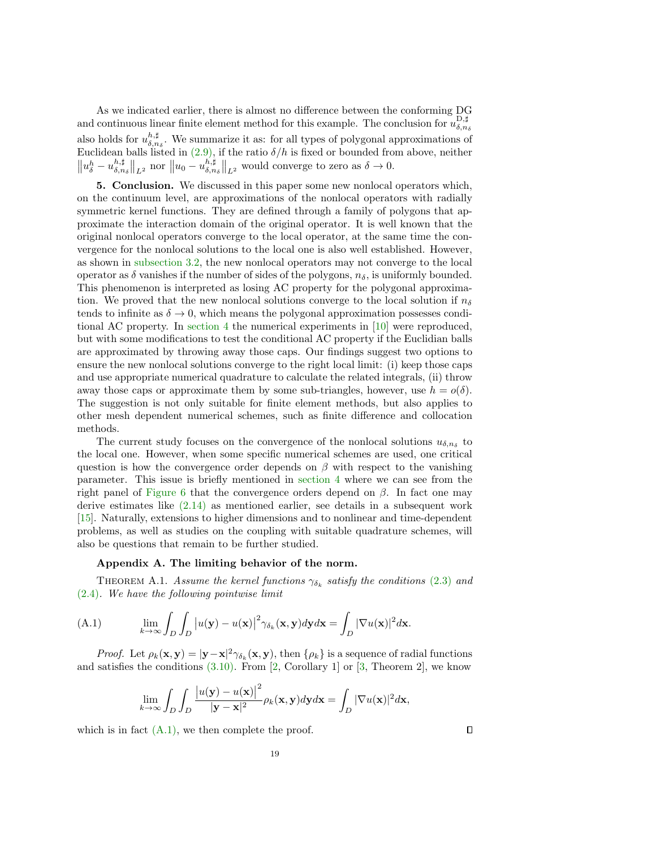As we indicated earlier, there is almost no difference between the conforming DG and continuous linear finite element method for this example. The conclusion for  $u_{\delta,n_{\delta}}^{\text{D},\sharp}$ also holds for  $u_{\delta,n_{\delta}}^{h,\sharp}$ . We summarize it as: for all types of polygonal approximations of Euclidean balls listed in  $(2.9)$ , if the ratio  $\delta/h$  is fixed or bounded from above, neither  $||u_{\delta}^{h} - u_{\delta,n_{\delta}}^{h,\sharp}||_{L^{2}}$  nor  $||u_{0} - u_{\delta,n_{\delta}}^{h,\sharp}||_{L^{2}}$  would converge to zero as  $\delta \to 0$ .

<span id="page-18-0"></span>5. Conclusion. We discussed in this paper some new nonlocal operators which, on the continuum level, are approximations of the nonlocal operators with radially symmetric kernel functions. They are defined through a family of polygons that approximate the interaction domain of the original operator. It is well known that the original nonlocal operators converge to the local operator, at the same time the convergence for the nonlocal solutions to the local one is also well established. However, as shown in [subsection 3.2,](#page-7-0) the new nonlocal operators may not converge to the local operator as  $\delta$  vanishes if the number of sides of the polygons,  $n_{\delta}$ , is uniformly bounded. This phenomenon is interpreted as losing AC property for the polygonal approximation. We proved that the new nonlocal solutions converge to the local solution if  $n_{\delta}$ tends to infinite as  $\delta \to 0$ , which means the polygonal approximation possesses conditional AC property. In [section 4](#page-16-1) the numerical experiments in [\[10\]](#page-20-17) were reproduced, but with some modifications to test the conditional AC property if the Euclidian balls are approximated by throwing away those caps. Our findings suggest two options to ensure the new nonlocal solutions converge to the right local limit: (i) keep those caps and use appropriate numerical quadrature to calculate the related integrals, (ii) throw away those caps or approximate them by some sub-triangles, however, use  $h = o(\delta)$ . The suggestion is not only suitable for finite element methods, but also applies to other mesh dependent numerical schemes, such as finite difference and collocation methods.

The current study focuses on the convergence of the nonlocal solutions  $u_{\delta,n_{\delta}}$  to the local one. However, when some specific numerical schemes are used, one critical question is how the convergence order depends on  $\beta$  with respect to the vanishing parameter. This issue is briefly mentioned in [section 4](#page-16-1) where we can see from the right panel of [Figure 6](#page-16-2) that the convergence orders depend on  $\beta$ . In fact one may derive estimates like [\(2.14\)](#page-5-2) as mentioned earlier, see details in a subsequent work [\[15\]](#page-20-21). Naturally, extensions to higher dimensions and to nonlinear and time-dependent problems, as well as studies on the coupling with suitable quadrature schemes, will also be questions that remain to be further studied.

## Appendix A. The limiting behavior of the norm.

THEOREM A.1. Assume the kernel functions  $\gamma_{\delta_k}$  satisfy the conditions [\(2.3\)](#page-2-2) and [\(2.4\)](#page-2-3). We have the following pointwise limit

<span id="page-18-1"></span>(A.1) 
$$
\lim_{k \to \infty} \int_{D} \int_{D} |u(\mathbf{y}) - u(\mathbf{x})|^{2} \gamma_{\delta_{k}}(\mathbf{x}, \mathbf{y}) d\mathbf{y} d\mathbf{x} = \int_{D} |\nabla u(\mathbf{x})|^{2} d\mathbf{x}.
$$

*Proof.* Let  $\rho_k(\mathbf{x}, \mathbf{y}) = |\mathbf{y} - \mathbf{x}|^2 \gamma_{\delta_k}(\mathbf{x}, \mathbf{y})$ , then  $\{\rho_k\}$  is a sequence of radial functions and satisfies the conditions  $(3.10)$ . From [\[2,](#page-20-24) Corollary 1] or [\[3,](#page-20-25) Theorem 2], we know

$$
\lim_{k \to \infty} \int_{D} \int_{D} \frac{|u(\mathbf{y}) - u(\mathbf{x})|^2}{|\mathbf{y} - \mathbf{x}|^2} \rho_k(\mathbf{x}, \mathbf{y}) d\mathbf{y} d\mathbf{x} = \int_{D} |\nabla u(\mathbf{x})|^2 d\mathbf{x},
$$

<span id="page-18-3"></span>which is in fact  $(A.1)$ , we then complete the proof.

<span id="page-18-2"></span> $\Box$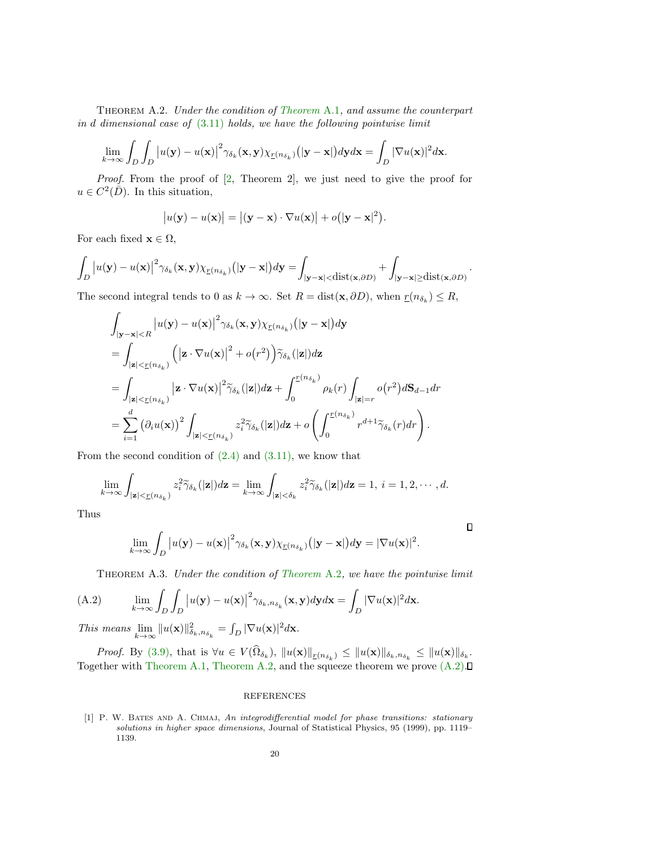Theorem A.2. Under the condition of [Theorem](#page-18-2) A.1, and assume the counterpart in  $d$  dimensional case of  $(3.11)$  holds, we have the following pointwise limit

$$
\lim_{k\to\infty}\int_D\int_D\big|u(\mathbf{y})-u(\mathbf{x})\big|^2\gamma_{\delta_k}(\mathbf{x},\mathbf{y})\chi_{\underline{r}(n_{\delta_k})}\big(|\mathbf{y}-\mathbf{x}|\big) d\mathbf{y}d\mathbf{x}=\int_D|\nabla u(\mathbf{x})|^2d\mathbf{x}.
$$

Proof. From the proof of [\[2,](#page-20-24) Theorem 2], we just need to give the proof for  $u \in C^2(\overline{D})$ . In this situation,

$$
|u(\mathbf{y}) - u(\mathbf{x})| = |(\mathbf{y} - \mathbf{x}) \cdot \nabla u(\mathbf{x})| + o(|\mathbf{y} - \mathbf{x}|^2).
$$

For each fixed  $\mathbf{x} \in \Omega$ ,

$$
\int_{D} \left| u(\mathbf{y}) - u(\mathbf{x}) \right|^2 \gamma_{\delta_k}(\mathbf{x}, \mathbf{y}) \chi_{\underline{r}(n_{\delta_k})}(|\mathbf{y} - \mathbf{x}|) d\mathbf{y} = \int_{|\mathbf{y} - \mathbf{x}| < \text{dist}(\mathbf{x}, \partial D)} + \int_{|\mathbf{y} - \mathbf{x}| \ge \text{dist}(\mathbf{x}, \partial D)}.
$$

The second integral tends to 0 as  $k \to \infty$ . Set  $R = \text{dist}(\mathbf{x}, \partial D)$ , when  $r(n_{\delta_k}) \leq R$ ,

$$
\int_{|\mathbf{y}-\mathbf{x}|\n
$$
= \int_{|\mathbf{z}|<\underline{r}(n_{\delta_k})} (|\mathbf{z} \cdot \nabla u(\mathbf{x})|^2 + o(r^2)) \widetilde{\gamma}_{\delta_k}(|\mathbf{z}|) d\mathbf{z}
$$
\n
$$
= \int_{|\mathbf{z}|<\underline{r}(n_{\delta_k})} |\mathbf{z} \cdot \nabla u(\mathbf{x})|^2 \widetilde{\gamma}_{\delta_k}(|\mathbf{z}|) d\mathbf{z} + \int_0^{\underline{r}(n_{\delta_k})} \rho_k(r) \int_{|\mathbf{z}|=r} o(r^2) d\mathbf{S}_{d-1} dr
$$
\n
$$
= \sum_{i=1}^d (\partial_i u(\mathbf{x}))^2 \int_{|\mathbf{z}|<\underline{r}(n_{\delta_k})} z_i^2 \widetilde{\gamma}_{\delta_k}(|\mathbf{z}|) d\mathbf{z} + o\left(\int_0^{\underline{r}(n_{\delta_k})} r^{d+1} \widetilde{\gamma}_{\delta_k}(r) dr\right).
$$
$$

From the second condition of  $(2.4)$  and  $(3.11)$ , we know that

$$
\lim_{k\to\infty}\int_{|\mathbf{z}|<\underline{r}(n_{\delta_k})}z_i^2\widetilde{\gamma}_{\delta_k}(|\mathbf{z}|)d\mathbf{z}=\lim_{k\to\infty}\int_{|\mathbf{z}|<\delta_k}z_i^2\widetilde{\gamma}_{\delta_k}(|\mathbf{z}|)d\mathbf{z}=1, i=1,2,\cdots,d.
$$

Thus

$$
\lim_{k\to\infty}\int_D\big|u(\mathbf{y})-u(\mathbf{x})\big|^2\gamma_{\delta_k}(\mathbf{x},\mathbf{y})\chi_{\underline{r}(n_{\delta_k})}\big(|\mathbf{y}-\mathbf{x}|\big)d\mathbf{y}=|\nabla u(\mathbf{x})|^2.
$$

 $\Box$ 

<span id="page-19-1"></span>Theorem A.3. Under the condition of [Theorem](#page-18-3) A.2, we have the pointwise limit

(A.2) 
$$
\lim_{k \to \infty} \int_{D} \int_{D} \left| u(\mathbf{y}) - u(\mathbf{x}) \right|^2 \gamma_{\delta_k, n_{\delta_k}}(\mathbf{x}, \mathbf{y}) d\mathbf{y} d\mathbf{x} = \int_{D} |\nabla u(\mathbf{x})|^2 d\mathbf{x}.
$$

This means  $\lim_{k \to \infty} ||u(\mathbf{x})||_{\delta_k,n_{\delta_k}}^2 = \int_D |\nabla u(\mathbf{x})|^2 d\mathbf{x}$ .

Proof. By [\(3.9\),](#page-10-1) that is  $\forall u \in V(\Omega_{\delta_k})$ ,  $||u(\mathbf{x})||_{\mathcal{I}(n_{\delta_k})} \leq ||u(\mathbf{x})||_{\delta_k,n_{\delta_k}} \leq ||u(\mathbf{x})||_{\delta_k}$ . Together with [Theorem A.1,](#page-18-2) [Theorem A.2,](#page-18-3) and the squeeze theorem we prove  $(A.2)$ .

## REFERENCES

<span id="page-19-0"></span>[1] P. W. BATES AND A. CHMAJ, An integrodifferential model for phase transitions: stationary solutions in higher space dimensions, Journal of Statistical Physics, 95 (1999), pp. 1119– 1139.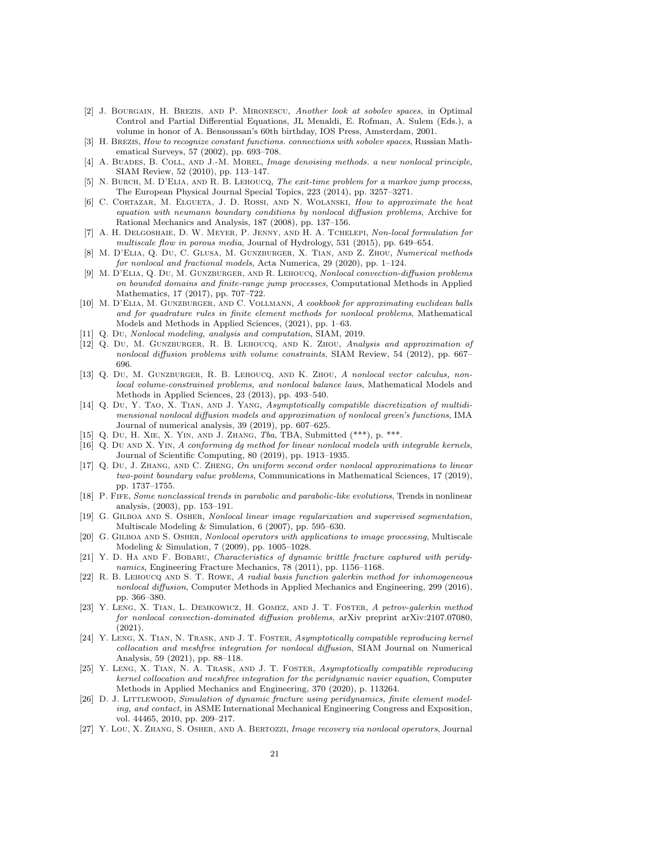- <span id="page-20-24"></span>[2] J. Bourgain, H. Brezis, and P. Mironescu, Another look at sobolev spaces, in Optimal Control and Partial Differential Equations, JL Menaldi, E. Rofman, A. Sulem (Eds.), a volume in honor of A. Bensoussan's 60th birthday, IOS Press, Amsterdam, 2001.
- <span id="page-20-25"></span>[3] H. BREZIS, How to recognize constant functions. connections with sobolev spaces, Russian Mathematical Surveys, 57 (2002), pp. 693–708.
- <span id="page-20-7"></span>[4] A. BUADES, B. COLL, AND J.-M. MOREL, Image denoising methods. a new nonlocal principle, SIAM Review, 52 (2010), pp. 113–147.
- <span id="page-20-5"></span>[5] N. Burch, M. D'Elia, and R. B. Lehoucq, The exit-time problem for a markov jump process, The European Physical Journal Special Topics, 223 (2014), pp. 3257–3271.
- <span id="page-20-19"></span>[6] C. CORTAZAR, M. ELGUETA, J. D. ROSSI, AND N. WOLANSKI, How to approximate the heat equation with neumann boundary conditions by nonlocal diffusion problems, Archive for Rational Mechanics and Analysis, 187 (2008), pp. 137–156.
- <span id="page-20-3"></span>[7] A. H. Delgoshaie, D. W. Meyer, P. Jenny, and H. A. Tchelepi, Non-local formulation for multiscale flow in porous media, Journal of Hydrology, 531 (2015), pp. 649–654.
- <span id="page-20-11"></span>[8] M. D'Elia, Q. Du, C. Glusa, M. Gunzburger, X. Tian, and Z. Zhou, Numerical methods for nonlocal and fractional models, Acta Numerica, 29 (2020), pp. 1–124.
- <span id="page-20-6"></span>[9] M. D'Elia, Q. Du, M. Gunzburger, and R. Lehoucq, Nonlocal convection-diffusion problems on bounded domains and finite-range jump processes, Computational Methods in Applied Mathematics, 17 (2017), pp. 707–722.
- <span id="page-20-17"></span>[10] M. D'ELIA, M. GUNZBURGER, AND C. VOLLMANN, A cookbook for approximating euclidean balls and for quadrature rules in finite element methods for nonlocal problems, Mathematical Models and Methods in Applied Sciences, (2021), pp. 1–63.
- <span id="page-20-0"></span>[11] Q. Du, Nonlocal modeling, analysis and computation, SIAM, 2019.
- <span id="page-20-22"></span>[12] Q. Du, M. GUNZBURGER, R. B. LEHOUCQ, AND K. ZHOU, Analysis and approximation of nonlocal diffusion problems with volume constraints, SIAM Review, 54 (2012), pp. 667– 696.
- <span id="page-20-23"></span>[13] Q. Du, M. Gunzburger, R. B. Lehoucq, and K. Zhou, A nonlocal vector calculus, nonlocal volume-constrained problems, and nonlocal balance laws, Mathematical Models and Methods in Applied Sciences, 23 (2013), pp. 493–540.
- <span id="page-20-12"></span>[14] Q. Du, Y. TAO, X. TIAN, AND J. YANG, Asymptotically compatible discretization of multidimensional nonlocal diffusion models and approximation of nonlocal green's functions, IMA Journal of numerical analysis, 39 (2019), pp. 607–625.
- <span id="page-20-21"></span>[15] Q. Du, H. Xie, X. Yin, and J. Zhang, Tba, TBA, Submitted (\*\*\*), p. \*\*\*.
- <span id="page-20-13"></span>[16] Q. Du AND X. YIN, A conforming dg method for linear nonlocal models with integrable kernels, Journal of Scientific Computing, 80 (2019), pp. 1913–1935.
- <span id="page-20-20"></span>[17] Q. Du, J. Zhang, and C. Zheng, On uniform second order nonlocal approximations to linear two-point boundary value problems, Communications in Mathematical Sciences, 17 (2019), pp. 1737–1755.
- <span id="page-20-4"></span>[18] P. Fife, Some nonclassical trends in parabolic and parabolic-like evolutions, Trends in nonlinear analysis, (2003), pp. 153–191.
- <span id="page-20-8"></span>[19] G. GILBOA AND S. OSHER, Nonlocal linear image regularization and supervised segmentation, Multiscale Modeling & Simulation, 6 (2007), pp. 595–630.
- <span id="page-20-9"></span>[20] G. GILBOA AND S. OSHER, Nonlocal operators with applications to image processing, Multiscale Modeling & Simulation, 7 (2009), pp. 1005–1028.
- <span id="page-20-1"></span>[21] Y. D. HA AND F. BOBARU, Characteristics of dynamic brittle fracture captured with peridynamics, Engineering Fracture Mechanics, 78 (2011), pp. 1156–1168.
- <span id="page-20-14"></span>[22] R. B. LEHOUCQ AND S. T. ROWE, A radial basis function galerkin method for inhomogeneous nonlocal diffusion, Computer Methods in Applied Mechanics and Engineering, 299 (2016), pp. 366–380.
- <span id="page-20-18"></span>[23] Y. Leng, X. Tian, L. Demkowicz, H. Gomez, and J. T. Foster, A petrov-galerkin method for nonlocal convection-dominated diffusion problems, arXiv preprint arXiv:2107.07080, (2021).
- <span id="page-20-15"></span>[24] Y. Leng, X. Tian, N. Trask, and J. T. Foster, Asymptotically compatible reproducing kernel collocation and meshfree integration for nonlocal diffusion, SIAM Journal on Numerical Analysis, 59 (2021), pp. 88–118.
- <span id="page-20-16"></span>[25] Y. Leng, X. Tian, N. A. Trask, and J. T. Foster, Asymptotically compatible reproducing kernel collocation and meshfree integration for the peridynamic navier equation, Computer Methods in Applied Mechanics and Engineering, 370 (2020), p. 113264.
- <span id="page-20-2"></span>[26] D. J. LITTLEWOOD, Simulation of dynamic fracture using peridynamics, finite element modeling, and contact, in ASME International Mechanical Engineering Congress and Exposition, vol. 44465, 2010, pp. 209–217.
- <span id="page-20-10"></span>[27] Y. Lou, X. Zhang, S. Osher, and A. Bertozzi, Image recovery via nonlocal operators, Journal